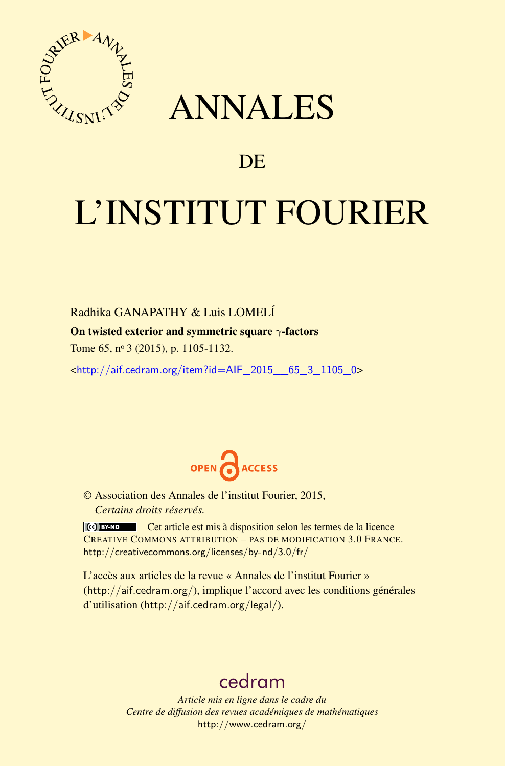

## ANNALES

### **DE**

# L'INSTITUT FOURIER

#### Radhika GANAPATHY & Luis LOMELÍ

#### On twisted exterior and symmetric square *γ*-factors

Tome 65, nº 3 (2015), p. 1105-1132.

 $\kappa$ http://aif.cedram.org/item?id=AIF 2015 65\_3\_1105\_0>



© Association des Annales de l'institut Fourier, 2015, *Certains droits réservés.*

Cet article est mis à disposition selon les termes de la licence CREATIVE COMMONS ATTRIBUTION – PAS DE MODIFICATION 3.0 FRANCE. <http://creativecommons.org/licenses/by-nd/3.0/fr/>

L'accès aux articles de la revue « Annales de l'institut Fourier » (<http://aif.cedram.org/>), implique l'accord avec les conditions générales d'utilisation (<http://aif.cedram.org/legal/>).

## [cedram](http://www.cedram.org/)

*Article mis en ligne dans le cadre du Centre de diffusion des revues académiques de mathématiques* <http://www.cedram.org/>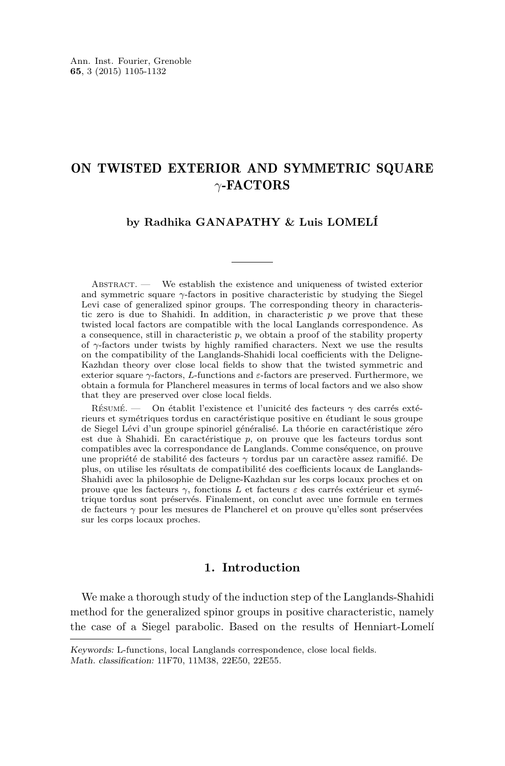#### ON TWISTED EXTERIOR AND SYMMETRIC SQUARE *γ*-FACTORS

#### **by Radhika GANAPATHY & Luis LOMELÍ**

Abstract. — We establish the existence and uniqueness of twisted exterior and symmetric square *γ*-factors in positive characteristic by studying the Siegel Levi case of generalized spinor groups. The corresponding theory in characteristic zero is due to Shahidi. In addition, in characteristic *p* we prove that these twisted local factors are compatible with the local Langlands correspondence. As a consequence, still in characteristic *p*, we obtain a proof of the stability property of *γ*-factors under twists by highly ramified characters. Next we use the results on the compatibility of the Langlands-Shahidi local coefficients with the Deligne-Kazhdan theory over close local fields to show that the twisted symmetric and exterior square *γ*-factors, *L*-functions and *ε*-factors are preserved. Furthermore, we obtain a formula for Plancherel measures in terms of local factors and we also show that they are preserved over close local fields.

Résumé. — On établit l'existence et l'unicité des facteurs *γ* des carrés extérieurs et symétriques tordus en caractéristique positive en étudiant le sous groupe de Siegel Lévi d'un groupe spinoriel généralisé. La théorie en caractéristique zéro est due à Shahidi. En caractéristique *p*, on prouve que les facteurs tordus sont compatibles avec la correspondance de Langlands. Comme conséquence, on prouve une propriété de stabilité des facteurs *γ* tordus par un caractère assez ramifié. De plus, on utilise les résultats de compatibilité des coefficients locaux de Langlands-Shahidi avec la philosophie de Deligne-Kazhdan sur les corps locaux proches et on prouve que les facteurs *γ*, fonctions *L* et facteurs *ε* des carrés extérieur et symétrique tordus sont préservés. Finalement, on conclut avec une formule en termes de facteurs *γ* pour les mesures de Plancherel et on prouve qu'elles sont préservées sur les corps locaux proches.

#### **1. Introduction**

We make a thorough study of the induction step of the Langlands-Shahidi method for the generalized spinor groups in positive characteristic, namely the case of a Siegel parabolic. Based on the results of Henniart-Lomelí

Keywords: L-functions, local Langlands correspondence, close local fields. Math. classification: 11F70, 11M38, 22E50, 22E55.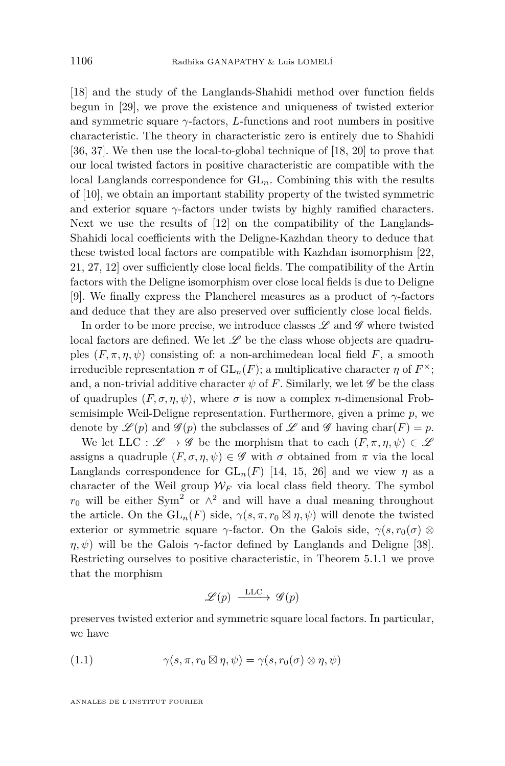<span id="page-2-0"></span>[\[18\]](#page-27-0) and the study of the Langlands-Shahidi method over function fields begun in [\[29\]](#page-28-0), we prove the existence and uniqueness of twisted exterior and symmetric square  $\gamma$ -factors, *L*-functions and root numbers in positive characteristic. The theory in characteristic zero is entirely due to Shahidi [\[36,](#page-28-0) [37\]](#page-28-0). We then use the local-to-global technique of [\[18,](#page-27-0) [20\]](#page-27-0) to prove that our local twisted factors in positive characteristic are compatible with the local Langlands correspondence for GL*n*. Combining this with the results of [\[10\]](#page-27-0), we obtain an important stability property of the twisted symmetric and exterior square  $\gamma$ -factors under twists by highly ramified characters. Next we use the results of [\[12\]](#page-27-0) on the compatibility of the Langlands-Shahidi local coefficients with the Deligne-Kazhdan theory to deduce that these twisted local factors are compatible with Kazhdan isomorphism [\[22,](#page-27-0) [21,](#page-27-0) [27,](#page-28-0) [12\]](#page-27-0) over sufficiently close local fields. The compatibility of the Artin factors with the Deligne isomorphism over close local fields is due to Deligne [\[9\]](#page-27-0). We finally express the Plancherel measures as a product of *γ*-factors and deduce that they are also preserved over sufficiently close local fields.

In order to be more precise, we introduce classes  $\mathscr L$  and  $\mathscr G$  where twisted local factors are defined. We let  $\mathscr L$  be the class whose objects are quadruples  $(F, \pi, \eta, \psi)$  consisting of: a non-archimedean local field F, a smooth irreducible representation  $\pi$  of  $\operatorname{GL}_n(F)$ ; a multiplicative character  $\eta$  of  $F^{\times}$ ; and, a non-trivial additive character  $\psi$  of F. Similarly, we let  $\mathscr G$  be the class of quadruples  $(F, \sigma, \eta, \psi)$ , where  $\sigma$  is now a complex *n*-dimensional Frobsemisimple Weil-Deligne representation. Furthermore, given a prime *p*, we denote by  $\mathscr{L}(p)$  and  $\mathscr{G}(p)$  the subclasses of  $\mathscr{L}$  and  $\mathscr{G}$  having char(F) = p.

We let LLC :  $\mathscr{L} \to \mathscr{G}$  be the morphism that to each  $(F, \pi, \eta, \psi) \in \mathscr{L}$ assigns a quadruple  $(F, \sigma, \eta, \psi) \in \mathscr{G}$  with  $\sigma$  obtained from  $\pi$  via the local Langlands correspondence for  $GL_n(F)$  [\[14,](#page-27-0) [15,](#page-27-0) [26\]](#page-28-0) and we view  $\eta$  as a character of the Weil group  $W_F$  via local class field theory. The symbol  $r_0$  will be either Sym<sup>2</sup> or  $\wedge^2$  and will have a dual meaning throughout the article. On the  $GL_n(F)$  side,  $\gamma(s, \pi, r_0 \boxtimes \eta, \psi)$  will denote the twisted exterior or symmetric square *γ*-factor. On the Galois side,  $\gamma(s, r_0(\sigma) \otimes$ *η, ψ*) will be the Galois  $γ$ -factor defined by Langlands and Deligne [\[38\]](#page-28-0). Restricting ourselves to positive characteristic, in Theorem 5.1.1 we prove that the morphism

$$
\mathscr{L}(p) \xrightarrow{\text{LLC}} \mathscr{G}(p)
$$

preserves twisted exterior and symmetric square local factors. In particular, we have

(1.1) 
$$
\gamma(s,\pi,r_0\boxtimes \eta,\psi) = \gamma(s,r_0(\sigma)\otimes \eta,\psi)
$$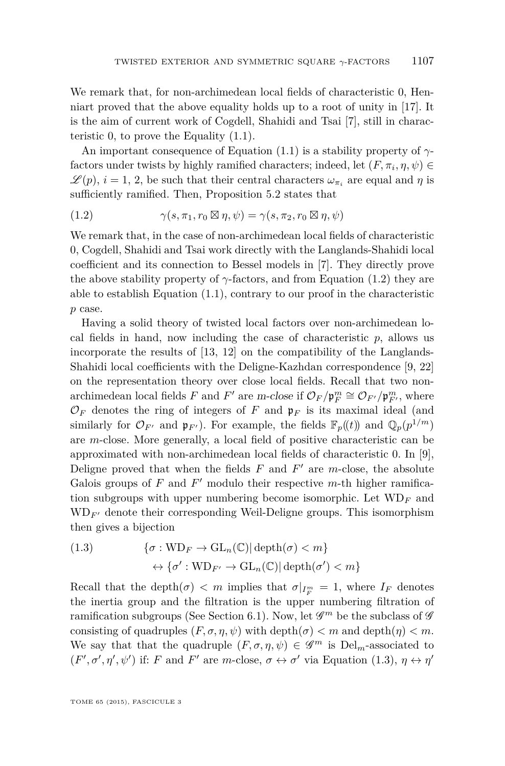We remark that, for non-archimedean local fields of characteristic 0, Henniart proved that the above equality holds up to a root of unity in [\[17\]](#page-27-0). It is the aim of current work of Cogdell, Shahidi and Tsai [\[7\]](#page-27-0), still in characteristic 0, to prove the Equality  $(1.1)$ .

An important consequence of Equation [\(1.1\)](#page-2-0) is a stability property of *γ*factors under twists by highly ramified characters; indeed, let  $(F, \pi_i, \eta, \psi) \in$  $\mathscr{L}(p), i = 1, 2$ , be such that their central characters  $\omega_{\pi_i}$  are equal and  $\eta$  is sufficiently ramified. Then, Proposition [5.2](#page-18-0) states that

(1.2) 
$$
\gamma(s, \pi_1, r_0 \boxtimes \eta, \psi) = \gamma(s, \pi_2, r_0 \boxtimes \eta, \psi)
$$

We remark that, in the case of non-archimedean local fields of characteristic 0, Cogdell, Shahidi and Tsai work directly with the Langlands-Shahidi local coefficient and its connection to Bessel models in [\[7\]](#page-27-0). They directly prove the above stability property of  $\gamma$ -factors, and from Equation (1.2) they are able to establish Equation [\(1.1\)](#page-2-0), contrary to our proof in the characteristic *p* case.

Having a solid theory of twisted local factors over non-archimedean local fields in hand, now including the case of characteristic  $p$ , allows us incorporate the results of [\[13,](#page-27-0) [12\]](#page-27-0) on the compatibility of the Langlands-Shahidi local coefficients with the Deligne-Kazhdan correspondence [\[9,](#page-27-0) [22\]](#page-27-0) on the representation theory over close local fields. Recall that two nonarchimedean local fields *F* and *F*<sup>'</sup> are m-close if  $\mathcal{O}_F/\mathfrak{p}_F^m \cong \mathcal{O}_{F'}/\mathfrak{p}_{F'}^m$ , where  $\mathcal{O}_F$  denotes the ring of integers of *F* and  $\mathfrak{p}_F$  is its maximal ideal (and similarly for  $\mathcal{O}_{F'}$  and  $\mathfrak{p}_{F'}$ ). For example, the fields  $\mathbb{F}_p((t))$  and  $\mathbb{Q}_p(p^{1/m})$ are *m*-close. More generally, a local field of positive characteristic can be approximated with non-archimedean local fields of characteristic 0. In [\[9\]](#page-27-0), Deligne proved that when the fields  $F$  and  $F'$  are  $m$ -close, the absolute Galois groups of  $F$  and  $F'$  modulo their respective  $m$ -th higher ramification subgroups with upper numbering become isomorphic. Let  $WD_F$  and  $WD_{F'}$  denote their corresponding Weil-Deligne groups. This isomorphism then gives a bijection

(1.3) 
$$
\{\sigma: \text{WD}_F \to \text{GL}_n(\mathbb{C}) | \operatorname{depth}(\sigma) < m\}
$$

$$
\leftrightarrow \{\sigma': \text{WD}_{F'} \to \text{GL}_n(\mathbb{C}) | \operatorname{depth}(\sigma') < m\}
$$

Recall that the depth $(\sigma) < m$  implies that  $\sigma|_{I_F^m} = 1$ , where  $I_F$  denotes the inertia group and the filtration is the upper numbering filtration of ramification subgroups (See Section [6.1\)](#page-19-0). Now, let  $\mathscr{G}^m$  be the subclass of  $\mathscr{G}$ consisting of quadruples  $(F, \sigma, \eta, \psi)$  with depth $(\sigma) < m$  and depth $(\eta) < m$ . We say that that the quadruple  $(F, \sigma, \eta, \psi) \in \mathscr{G}^m$  is  $\text{Del}_m$ -associated to  $(F', \sigma', \eta', \psi')$  if: *F* and *F'* are *m*-close,  $\sigma \leftrightarrow \sigma'$  via Equation (1.3),  $\eta \leftrightarrow \eta'$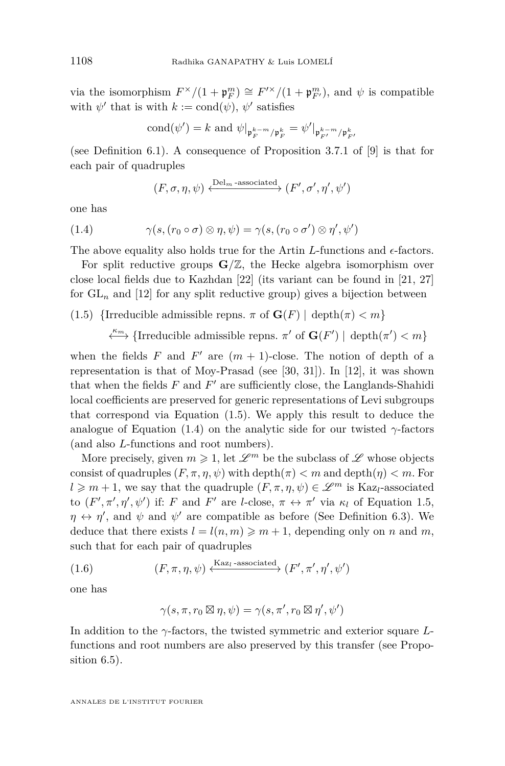<span id="page-4-0"></span>via the isomorphism  $F^{\times}/(1 + \mathfrak{p}_{F}^{m}) \cong F^{\prime \times}/(1 + \mathfrak{p}_{F'}^{m})$ , and  $\psi$  is compatible with  $\psi'$  that is with  $k := \text{cond}(\psi)$ ,  $\psi'$  satisfies

cond
$$
(\psi') = k
$$
 and  $\psi|_{\mathfrak{p}_{F}^{k-m}/\mathfrak{p}_{F}^{k}} = \psi'|_{\mathfrak{p}_{F'}^{k-m}/\mathfrak{p}_{F'}^{k}}$ 

(see Definition [6.1\)](#page-20-0). A consequence of Proposition 3.7.1 of [\[9\]](#page-27-0) is that for each pair of quadruples

$$
(F,\sigma,\eta,\psi) \xleftarrow{\text{Del}_m\text{-associated}} (F',\sigma',\eta',\psi')
$$

one has

(1.4) 
$$
\gamma(s, (r_0 \circ \sigma) \otimes \eta, \psi) = \gamma(s, (r_0 \circ \sigma') \otimes \eta', \psi')
$$

The above equality also holds true for the Artin  $L$ -functions and  $\epsilon$ -factors.

For split reductive groups  $\mathbf{G}/\mathbb{Z}$ , the Hecke algebra isomorphism over close local fields due to Kazhdan [\[22\]](#page-27-0) (its variant can be found in [\[21,](#page-27-0) [27\]](#page-28-0) for  $GL_n$  and [\[12\]](#page-27-0) for any split reductive group) gives a bijection between

- (1.5) {Irreducible admissible repns.  $\pi$  of  $\mathbf{G}(F)$  | depth $(\pi) < m$ }
	- $\xleftarrow{\kappa_m}$  {Irreducible admissible repns. *π*<sup>'</sup> of **G**(*F*<sup>'</sup>) | depth(*π*<sup>'</sup>) < *m*}

when the fields  $F$  and  $F'$  are  $(m + 1)$ -close. The notion of depth of a representation is that of Moy-Prasad (see [\[30,](#page-28-0) [31\]](#page-28-0)). In [\[12\]](#page-27-0), it was shown that when the fields  $F$  and  $F'$  are sufficiently close, the Langlands-Shahidi local coefficients are preserved for generic representations of Levi subgroups that correspond via Equation (1.5). We apply this result to deduce the analogue of Equation (1.4) on the analytic side for our twisted  $\gamma$ -factors (and also *L*-functions and root numbers).

More precisely, given  $m \geq 1$ , let  $\mathscr{L}^m$  be the subclass of  $\mathscr{L}$  whose objects consist of quadruples  $(F, \pi, \eta, \psi)$  with depth $(\pi) < m$  and depth $(\eta) < m$ . For  $l \geq m+1$ , we say that the quadruple  $(F, \pi, \eta, \psi) \in \mathscr{L}^m$  is Kaz<sub>l</sub>-associated to  $(F', \pi', \eta', \psi')$  if: *F* and *F'* are *l*-close,  $\pi \leftrightarrow \pi'$  via  $\kappa_l$  of Equation 1.5,  $\eta \leftrightarrow \eta'$ , and  $\psi$  and  $\psi'$  are compatible as before (See Definition [6.3\)](#page-21-0). We deduce that there exists  $l = l(n, m) \geq m + 1$ , depending only on *n* and *m*, such that for each pair of quadruples

(1.6) 
$$
(F, \pi, \eta, \psi) \xleftarrow{\text{Kaz}_l\text{-associated}} (F', \pi', \eta', \psi')
$$

one has

$$
\gamma(s,\pi,r_0\boxtimes \eta,\psi)=\gamma(s,\pi',r_0\boxtimes \eta',\psi')
$$

In addition to the *γ*-factors, the twisted symmetric and exterior square *L*functions and root numbers are also preserved by this transfer (see Proposition [6.5\)](#page-22-0).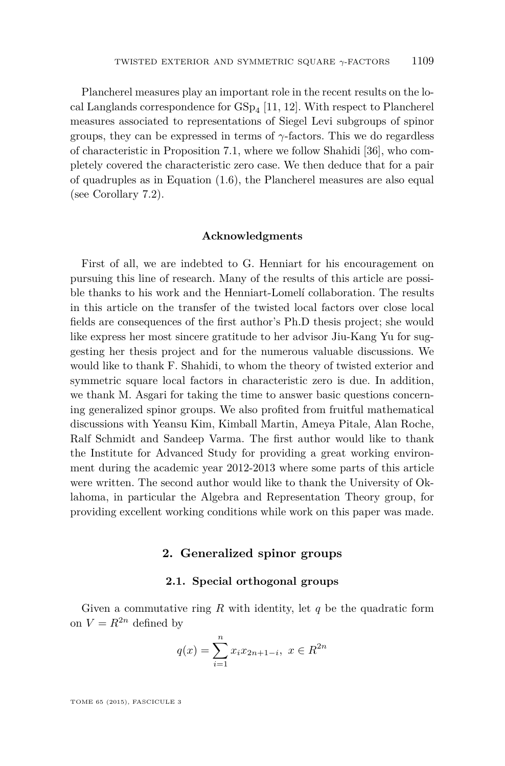Plancherel measures play an important role in the recent results on the local Langlands correspondence for  $GSp_4[11, 12]$  $GSp_4[11, 12]$  $GSp_4[11, 12]$  $GSp_4[11, 12]$ . With respect to Plancherel measures associated to representations of Siegel Levi subgroups of spinor groups, they can be expressed in terms of *γ*-factors. This we do regardless of characteristic in Proposition [7.1,](#page-24-0) where we follow Shahidi [\[36\]](#page-28-0), who completely covered the characteristic zero case. We then deduce that for a pair of quadruples as in Equation [\(1.6\)](#page-4-0), the Plancherel measures are also equal (see Corollary [7.2\)](#page-26-0).

#### **Acknowledgments**

First of all, we are indebted to G. Henniart for his encouragement on pursuing this line of research. Many of the results of this article are possible thanks to his work and the Henniart-Lomelí collaboration. The results in this article on the transfer of the twisted local factors over close local fields are consequences of the first author's Ph.D thesis project; she would like express her most sincere gratitude to her advisor Jiu-Kang Yu for suggesting her thesis project and for the numerous valuable discussions. We would like to thank F. Shahidi, to whom the theory of twisted exterior and symmetric square local factors in characteristic zero is due. In addition, we thank M. Asgari for taking the time to answer basic questions concerning generalized spinor groups. We also profited from fruitful mathematical discussions with Yeansu Kim, Kimball Martin, Ameya Pitale, Alan Roche, Ralf Schmidt and Sandeep Varma. The first author would like to thank the Institute for Advanced Study for providing a great working environment during the academic year 2012-2013 where some parts of this article were written. The second author would like to thank the University of Oklahoma, in particular the Algebra and Representation Theory group, for providing excellent working conditions while work on this paper was made.

#### **2. Generalized spinor groups**

#### **2.1. Special orthogonal groups**

Given a commutative ring *R* with identity, let *q* be the quadratic form on  $V = R^{2n}$  defined by

$$
q(x) = \sum_{i=1}^{n} x_i x_{2n+1-i}, \ x \in R^{2n}
$$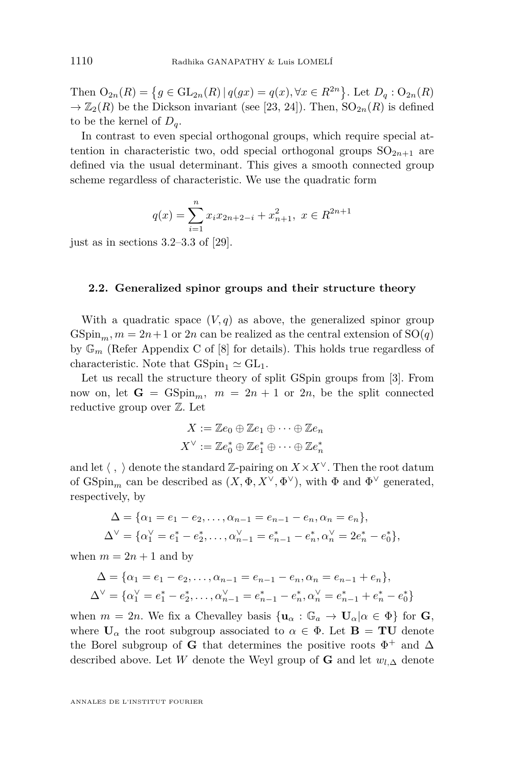Then  $O_{2n}(R) = \{ g \in GL_{2n}(R) | q(gx) = q(x), \forall x \in R^{2n} \}.$  Let  $D_q : O_{2n}(R)$  $\rightarrow \mathbb{Z}_2(R)$  be the Dickson invariant (see [\[23,](#page-27-0) [24\]](#page-27-0)). Then,  $SO_{2n}(R)$  is defined to be the kernel of  $D_q$ .

In contrast to even special orthogonal groups, which require special attention in characteristic two, odd special orthogonal groups  $SO_{2n+1}$  are defined via the usual determinant. This gives a smooth connected group scheme regardless of characteristic. We use the quadratic form

$$
q(x) = \sum_{i=1}^{n} x_i x_{2n+2-i} + x_{n+1}^2, \ x \in R^{2n+1}
$$

just as in sections  $3.2-3.3$  of [\[29\]](#page-28-0).

#### **2.2. Generalized spinor groups and their structure theory**

With a quadratic space  $(V, q)$  as above, the generalized spinor group  $GSpin<sub>m</sub>, m = 2n + 1$  or 2*n* can be realized as the central extension of  $SO(q)$ by  $\mathbb{G}_m$  (Refer Appendix C of [\[8\]](#page-27-0) for details). This holds true regardless of characteristic. Note that  $GSpin_1 \simeq GL_1$ .

Let us recall the structure theory of split GSpin groups from [\[3\]](#page-26-0). From now on, let  $G = GSpin_m$ ,  $m = 2n + 1$  or  $2n$ , be the split connected reductive group over Z. Let

$$
X := \mathbb{Z}e_0 \oplus \mathbb{Z}e_1 \oplus \cdots \oplus \mathbb{Z}e_n
$$

$$
X^{\vee} := \mathbb{Z}e_0^* \oplus \mathbb{Z}e_1^* \oplus \cdots \oplus \mathbb{Z}e_n^*
$$

and let  $\langle , \rangle$  denote the standard Z-pairing on  $X \times X^{\vee}$ . Then the root datum of  $\text{GSpin}_m$  can be described as  $(X, \Phi, X^\vee, \Phi^\vee)$ , with  $\Phi$  and  $\Phi^\vee$  generated, respectively, by

$$
\Delta = \{ \alpha_1 = e_1 - e_2, \dots, \alpha_{n-1} = e_{n-1} - e_n, \alpha_n = e_n \},
$$
  

$$
\Delta^{\vee} = \{ \alpha_1^{\vee} = e_1^* - e_2^*, \dots, \alpha_{n-1}^{\vee} = e_{n-1}^* - e_n^*, \alpha_n^{\vee} = 2e_n^* - e_0^* \},
$$

when  $m = 2n + 1$  and by

$$
\Delta = \{ \alpha_1 = e_1 - e_2, \dots, \alpha_{n-1} = e_{n-1} - e_n, \alpha_n = e_{n-1} + e_n \},\
$$
  

$$
\Delta^{\vee} = \{ \alpha_1^{\vee} = e_1^* - e_2^*, \dots, \alpha_{n-1}^{\vee} = e_{n-1}^* - e_n^*, \alpha_n^{\vee} = e_{n-1}^* + e_n^* - e_0^* \}
$$

when  $m = 2n$ . We fix a Chevalley basis  $\{\mathbf{u}_{\alpha} : \mathbb{G}_a \to \mathbf{U}_{\alpha} | \alpha \in \Phi\}$  for **G**, where  $U_\alpha$  the root subgroup associated to  $\alpha \in \Phi$ . Let  $B = TU$  denote the Borel subgroup of **G** that determines the positive roots  $\Phi^+$  and  $\Delta$ described above. Let *W* denote the Weyl group of **G** and let  $w_{l,\Delta}$  denote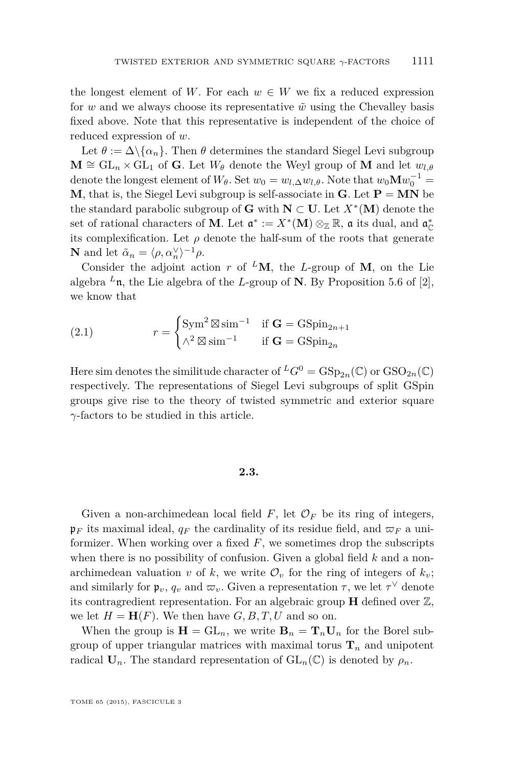<span id="page-7-0"></span>the longest element of *W*. For each  $w \in W$  we fix a reduced expression for *w* and we always choose its representative  $\tilde{w}$  using the Chevalley basis fixed above. Note that this representative is independent of the choice of reduced expression of *w*.

Let  $\theta := \Delta \setminus \{ \alpha_n \}$ . Then  $\theta$  determines the standard Siegel Levi subgroup  $\mathbf{M} \cong \mathrm{GL}_n \times \mathrm{GL}_1$  of **G**. Let  $W_\theta$  denote the Weyl group of **M** and let  $w_{l,\theta}$ denote the longest element of  $W_{\theta}$ . Set  $w_0 = w_{l,\Delta}w_{l,\theta}$ . Note that  $w_0 \mathbf{M} w_0^{-1} =$ **M**, that is, the Siegel Levi subgroup is self-associate in **G**. Let  $P = MN$  be the standard parabolic subgroup of **G** with  $N \subset U$ . Let  $X^*(M)$  denote the set of rational characters of **M**. Let  $\mathfrak{a}^* := X^*(\mathbf{M}) \otimes_{\mathbb{Z}} \mathbb{R}$ ,  $\mathfrak{a}$  its dual, and  $\mathfrak{a}_{\mathbb{C}}^*$ its complexification. Let  $\rho$  denote the half-sum of the roots that generate **N** and let  $\tilde{\alpha}_n = \langle \rho, \alpha_n^{\vee} \rangle^{-1} \rho$ .

Consider the adjoint action *r* of <sup>L</sup>M, the L-group of M, on the Lie algebra  $^L$ n, the Lie algebra of the *L*-group of **N**. By Proposition 5.6 of [\[2\]](#page-26-0), we know that

(2.1) 
$$
r = \begin{cases} \text{Sym}^2 \boxtimes \text{sim}^{-1} & \text{if } \mathbf{G} = \text{GSpin}_{2n+1} \\ \wedge^2 \boxtimes \text{sim}^{-1} & \text{if } \mathbf{G} = \text{GSpin}_{2n} \end{cases}
$$

Here sim denotes the similitude character of  ${}^L G^0 = \text{GSp}_{2n}(\mathbb{C})$  or  $\text{GSO}_{2n}(\mathbb{C})$ respectively. The representations of Siegel Levi subgroups of split GSpin groups give rise to the theory of twisted symmetric and exterior square *γ*-factors to be studied in this article.

#### **2.3.**

Given a non-archimedean local field  $F$ , let  $\mathcal{O}_F$  be its ring of integers,  $\mathfrak{p}_F$  its maximal ideal,  $q_F$  the cardinality of its residue field, and  $\varpi_F$  a uniformizer. When working over a fixed *F*, we sometimes drop the subscripts when there is no possibility of confusion. Given a global field *k* and a nonarchimedean valuation *v* of *k*, we write  $\mathcal{O}_v$  for the ring of integers of  $k_v$ ; and similarly for  $\mathfrak{p}_v, q_v$  and  $\varpi_v$ . Given a representation  $\tau$ , we let  $\tau^{\vee}$  denote its contragredient representation. For an algebraic group  $\bf{H}$  defined over  $\mathbb{Z}$ , we let  $H = H(F)$ . We then have  $G, B, T, U$  and so on.

When the group is  $\mathbf{H} = GL_n$ , we write  $\mathbf{B}_n = \mathbf{T}_n \mathbf{U}_n$  for the Borel subgroup of upper triangular matrices with maximal torus  $\mathbf{T}_n$  and unipotent radical  $U_n$ . The standard representation of  $GL_n(\mathbb{C})$  is denoted by  $\rho_n$ .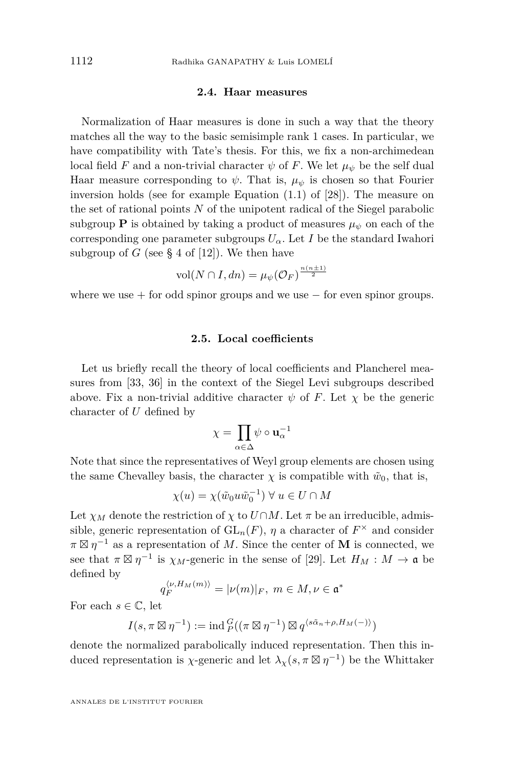#### **2.4. Haar measures**

<span id="page-8-0"></span>Normalization of Haar measures is done in such a way that the theory matches all the way to the basic semisimple rank 1 cases. In particular, we have compatibility with Tate's thesis. For this, we fix a non-archimedean local field *F* and a non-trivial character  $\psi$  of *F*. We let  $\mu_{\psi}$  be the self dual Haar measure corresponding to  $\psi$ . That is,  $\mu_{\psi}$  is chosen so that Fourier inversion holds (see for example Equation (1.1) of [\[28\]](#page-28-0)). The measure on the set of rational points *N* of the unipotent radical of the Siegel parabolic subgroup **P** is obtained by taking a product of measures  $\mu_{\psi}$  on each of the corresponding one parameter subgroups  $U_{\alpha}$ . Let *I* be the standard Iwahori subgroup of *G* (see § 4 of [\[12\]](#page-27-0)). We then have

$$
\text{vol}(N \cap I, dn) = \mu_{\psi}(\mathcal{O}_F)^{\frac{n(n \pm 1)}{2}}
$$

where we use  $+$  for odd spinor groups and we use  $-$  for even spinor groups.

#### **2.5. Local coefficients**

Let us briefly recall the theory of local coefficients and Plancherel measures from [\[33,](#page-28-0) [36\]](#page-28-0) in the context of the Siegel Levi subgroups described above. Fix a non-trivial additive character  $\psi$  of F. Let  $\chi$  be the generic character of *U* defined by

$$
\chi = \prod_{\alpha \in \Delta} \psi \circ \mathbf{u}_{\alpha}^{-1}
$$

Note that since the representatives of Weyl group elements are chosen using the same Chevalley basis, the character  $\chi$  is compatible with  $\tilde{w}_0$ , that is,

$$
\chi(u) = \chi(\tilde{w}_0 u \tilde{w}_0^{-1}) \ \forall \ u \in U \cap M
$$

Let  $\chi_M$  denote the restriction of  $\chi$  to  $U \cap M$ . Let  $\pi$  be an irreducible, admissible, generic representation of  $GL_n(F)$ ,  $\eta$  a character of  $F^{\times}$  and consider  $\pi \boxtimes \eta^{-1}$  as a representation of *M*. Since the center of **M** is connected, we see that  $\pi \boxtimes \eta^{-1}$  is  $\chi_M$ -generic in the sense of [\[29\]](#page-28-0). Let  $H_M : M \to \mathfrak{a}$  be defined by

$$
q_F^{\langle \nu, H_M(m) \rangle} = |\nu(m)|_F, \ m \in M, \nu \in \mathfrak{a}^*
$$

For each  $s \in \mathbb{C}$ , let

$$
I(s, \pi \boxtimes \eta^{-1}) := \mathrm{ind}_{P}^{G}((\pi \boxtimes \eta^{-1}) \boxtimes q^{\langle s\tilde{\alpha}_n + \rho, H_M(-)\rangle})
$$

denote the normalized parabolically induced representation. Then this induced representation is *χ*-generic and let  $\lambda_{\chi}(s, \pi \boxtimes \eta^{-1})$  be the Whittaker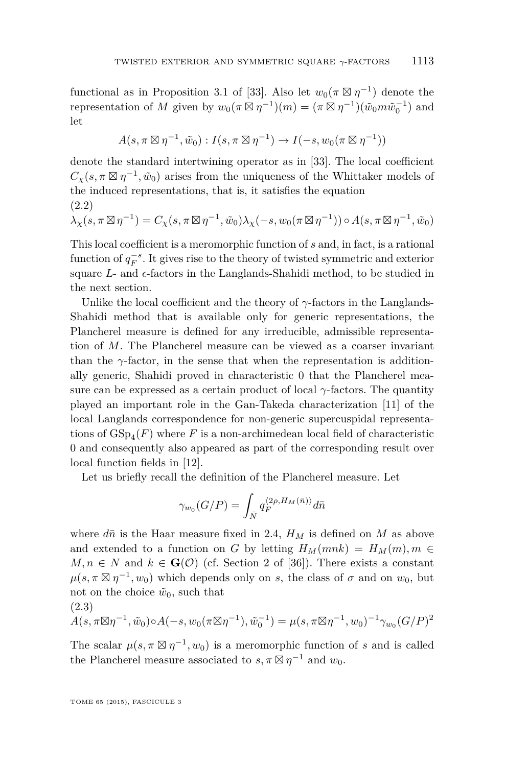<span id="page-9-0"></span>functional as in Proposition 3.1 of [\[33\]](#page-28-0). Also let  $w_0(\pi \boxtimes \eta^{-1})$  denote the representation of *M* given by  $w_0(\pi \boxtimes \eta^{-1})(m) = (\pi \boxtimes \eta^{-1})(\tilde{w}_0 m \tilde{w}_0^{-1})$  and let

$$
A(s, \pi \boxtimes \eta^{-1}, \tilde{w}_0) : I(s, \pi \boxtimes \eta^{-1}) \to I(-s, w_0(\pi \boxtimes \eta^{-1}))
$$

denote the standard intertwining operator as in [\[33\]](#page-28-0). The local coefficient  $C_{\chi}(s, \pi \boxtimes \eta^{-1}, \tilde{w}_0)$  arises from the uniqueness of the Whittaker models of the induced representations, that is, it satisfies the equation (2.2)

$$
\lambda_{\chi}(s, \pi \boxtimes \eta^{-1}) = C_{\chi}(s, \pi \boxtimes \eta^{-1}, \tilde{w}_0) \lambda_{\chi}(-s, w_0(\pi \boxtimes \eta^{-1})) \circ A(s, \pi \boxtimes \eta^{-1}, \tilde{w}_0)
$$

This local coefficient is a meromorphic function of *s* and, in fact, is a rational function of  $q_F^{-s}$ . It gives rise to the theory of twisted symmetric and exterior square  $L$ - and  $\epsilon$ -factors in the Langlands-Shahidi method, to be studied in the next section.

Unlike the local coefficient and the theory of *γ*-factors in the Langlands-Shahidi method that is available only for generic representations, the Plancherel measure is defined for any irreducible, admissible representation of *M*. The Plancherel measure can be viewed as a coarser invariant than the  $\gamma$ -factor, in the sense that when the representation is additionally generic, Shahidi proved in characteristic 0 that the Plancherel measure can be expressed as a certain product of local  $\gamma$ -factors. The quantity played an important role in the Gan-Takeda characterization [\[11\]](#page-27-0) of the local Langlands correspondence for non-generic supercuspidal representations of  $GSp_4(F)$  where  $F$  is a non-archimedean local field of characteristic 0 and consequently also appeared as part of the corresponding result over local function fields in [\[12\]](#page-27-0).

Let us briefly recall the definition of the Plancherel measure. Let

$$
\gamma_{w_0}(G/P) = \int_{\bar{N}} q_F^{\langle 2\rho, H_M(\bar{n})\rangle} d\bar{n}
$$

where  $d\bar{n}$  is the Haar measure fixed in [2.4,](#page-8-0)  $H_M$  is defined on M as above and extended to a function on *G* by letting  $H_M(mnk) = H_M(m), m \in$  $M, n \in N$  and  $k \in \mathbf{G}(\mathcal{O})$  (cf. Section 2 of [\[36\]](#page-28-0)). There exists a constant  $\mu(s, \pi \boxtimes \eta^{-1}, w_0)$  which depends only on *s*, the class of  $\sigma$  and on  $w_0$ , but not on the choice  $\tilde{w}_0$ , such that (2.3)

$$
A(s, \pi \boxtimes \eta^{-1}, \tilde{w}_0) \circ A(-s, w_0(\pi \boxtimes \eta^{-1}), \tilde{w}_0^{-1}) = \mu(s, \pi \boxtimes \eta^{-1}, w_0)^{-1} \gamma_{w_0}(G/P)^2
$$

The scalar  $\mu(s, \pi \boxtimes \eta^{-1}, w_0)$  is a meromorphic function of *s* and is called the Plancherel measure associated to  $s, \pi \boxtimes \eta^{-1}$  and  $w_0$ .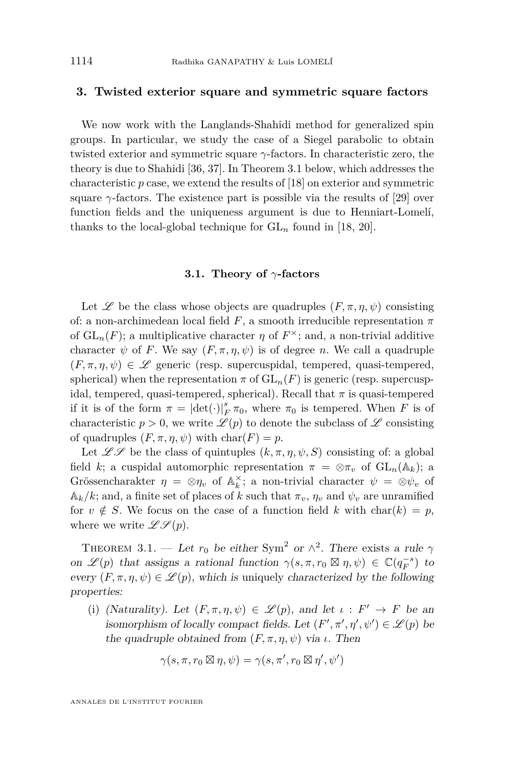#### <span id="page-10-0"></span>**3. Twisted exterior square and symmetric square factors**

We now work with the Langlands-Shahidi method for generalized spin groups. In particular, we study the case of a Siegel parabolic to obtain twisted exterior and symmetric square *γ*-factors. In characteristic zero, the theory is due to Shahidi [\[36,](#page-28-0) [37\]](#page-28-0). In Theorem 3.1 below, which addresses the characteristic *p* case, we extend the results of [\[18\]](#page-27-0) on exterior and symmetric square  $\gamma$ -factors. The existence part is possible via the results of [\[29\]](#page-28-0) over function fields and the uniqueness argument is due to Henniart-Lomelí, thanks to the local-global technique for  $GL_n$  found in [\[18,](#page-27-0) [20\]](#page-27-0).

#### **3.1. Theory of** *γ***-factors**

Let  $\mathscr L$  be the class whose objects are quadruples  $(F, \pi, \eta, \psi)$  consisting of: a non-archimedean local field  $F$ , a smooth irreducible representation  $\pi$ of  $\operatorname{GL}_n(F)$ ; a multiplicative character  $\eta$  of  $F^{\times}$ ; and, a non-trivial additive character  $\psi$  of *F*. We say  $(F, \pi, \eta, \psi)$  is of degree *n*. We call a quadruple  $(F, \pi, \eta, \psi) \in \mathscr{L}$  generic (resp. supercuspidal, tempered, quasi-tempered, spherical) when the representation  $\pi$  of  $GL_n(F)$  is generic (resp. supercuspidal, tempered, quasi-tempered, spherical). Recall that  $\pi$  is quasi-tempered if it is of the form  $\pi = |\text{det}(\cdot)|_F^s \pi_0$ , where  $\pi_0$  is tempered. When *F* is of characteristic  $p > 0$ , we write  $\mathcal{L}(p)$  to denote the subclass of  $\mathcal{L}$  consisting of quadruples  $(F, \pi, \eta, \psi)$  with char $(F) = p$ .

Let  $\mathscr{L} \mathscr{S}$  be the class of quintuples  $(k, \pi, \eta, \psi, S)$  consisting of: a global field *k*; a cuspidal automorphic representation  $\pi = \otimes \pi_v$  of  $GL_n(\mathbb{A}_k)$ ; a Grössencharakter  $\eta = \otimes \eta_v$  of  $\mathbb{A}_k^{\times}$ ; a non-trivial character  $\psi = \otimes \psi_v$  of  $\mathbb{A}_k/k$ ; and, a finite set of places of k such that  $\pi_v$ ,  $\eta_v$  and  $\psi_v$  are unramified for  $v \notin S$ . We focus on the case of a function field k with char(k) = p, where we write  $\mathscr{L} \mathscr{S} (p)$ .

THEOREM 3.1. — Let  $r_0$  be either Sym<sup>2</sup> or  $\wedge^2$ . There exists a rule  $\gamma$ on  $\mathscr{L}(p)$  that assigns a rational function  $\gamma(s,\pi,r_0 \boxtimes \eta,\psi) \in \mathbb{C}(q_F^{-s})$  to every  $(F, \pi, \eta, \psi) \in \mathcal{L}(p)$ , which is uniquely characterized by the following properties:

(i) (Naturality). Let  $(F, \pi, \eta, \psi) \in \mathcal{L}(p)$ , and let  $\iota : F' \to F$  be an isomorphism of locally compact fields. Let  $(F', \pi', \eta', \psi') \in \mathcal{L}(p)$  be the quadruple obtained from  $(F, \pi, \eta, \psi)$  via *ι*. Then

$$
\gamma(s,\pi,r_0\boxtimes \eta,\psi)=\gamma(s,\pi',r_0\boxtimes \eta',\psi')
$$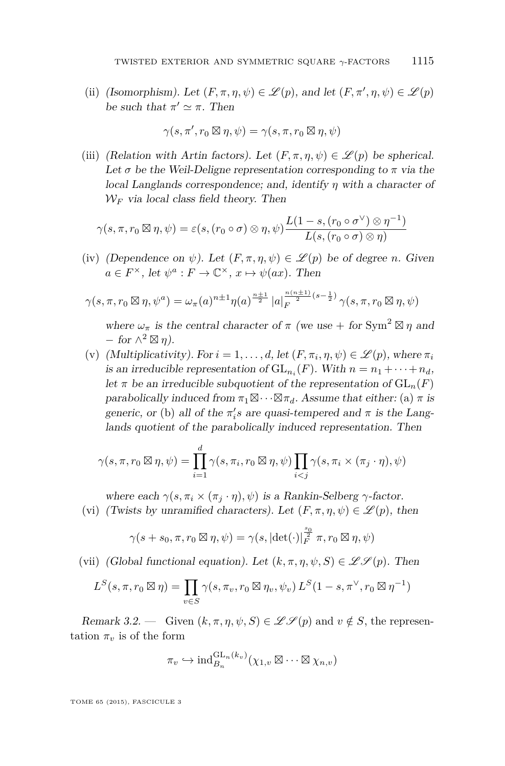<span id="page-11-0"></span>(ii) (Isomorphism). Let  $(F, \pi, \eta, \psi) \in \mathcal{L}(p)$ , and let  $(F, \pi', \eta, \psi) \in \mathcal{L}(p)$ be such that  $\pi' \simeq \pi$ . Then

$$
\gamma(s, \pi', r_0 \boxtimes \eta, \psi) = \gamma(s, \pi, r_0 \boxtimes \eta, \psi)
$$

(iii) (Relation with Artin factors). Let  $(F, \pi, \eta, \psi) \in \mathscr{L}(p)$  be spherical. Let  $\sigma$  be the Weil-Deligne representation corresponding to  $\pi$  via the local Langlands correspondence; and, identify *η* with a character of  $W_F$  via local class field theory. Then

$$
\gamma(s,\pi,r_0\boxtimes \eta,\psi)=\varepsilon(s,(r_0\circ\sigma)\otimes\eta,\psi)\frac{L(1-s,(r_0\circ\sigma^\vee)\otimes\eta^{-1})}{L(s,(r_0\circ\sigma)\otimes\eta)}
$$

(iv) (Dependence on  $\psi$ ). Let  $(F, \pi, \eta, \psi) \in \mathscr{L}(p)$  be of degree *n*. Given  $a \in F^{\times}$ , let  $\psi^a : F \to \mathbb{C}^{\times}$ ,  $x \mapsto \psi(ax)$ . Then

$$
\gamma(s,\pi,r_0 \boxtimes \eta,\psi^a) = \omega_{\pi}(a)^{n+1} \eta(a)^{\frac{n+1}{2}} |a|_F^{\frac{n(n+1)}{2}(s-\frac{1}{2})} \gamma(s,\pi,r_0 \boxtimes \eta,\psi)
$$

where  $\omega_{\pi}$  is the central character of  $\pi$  (we use + for Sym<sup>2</sup>  $\boxtimes \eta$  and  $-$  *for*  $\wedge^2 \boxtimes \eta$ *)*.

(v) (Multiplicativity). For  $i = 1, \ldots, d$ , let  $(F, \pi_i, \eta, \psi) \in \mathscr{L}(p)$ , where  $\pi_i$ is an irreducible representation of  $GL_{n_i}(F)$ . With  $n = n_1 + \cdots + n_d$ , let  $\pi$  be an irreducible subquotient of the representation of  $GL_n(F)$ parabolically induced from  $\pi_1 \boxtimes \cdots \boxtimes \pi_d$ . Assume that either: (a)  $\pi$  is generic, or (b) all of the  $\pi_i$ 's are quasi-tempered and  $\pi$  is the Langlands quotient of the parabolically induced representation. Then

$$
\gamma(s,\pi,r_0 \boxtimes \eta,\psi) = \prod_{i=1}^d \gamma(s,\pi_i,r_0 \boxtimes \eta,\psi) \prod_{i < j} \gamma(s,\pi_i \times (\pi_j \cdot \eta),\psi)
$$

where each  $\gamma(s, \pi_i \times (\pi_i \cdot \eta), \psi)$  is a Rankin-Selberg  $\gamma$ -factor.

(vi) (Twists by unramified characters). Let  $(F, \pi, \eta, \psi) \in \mathscr{L}(p)$ , then

$$
\gamma(s+s_0,\pi,r_0\boxtimes \eta,\psi)=\gamma(s,|\text{det}(\cdot)|_F^{\frac{s_0}{2}}\pi,r_0\boxtimes \eta,\psi)
$$

(vii) (Global functional equation). Let  $(k, \pi, \eta, \psi, S) \in \mathscr{L}(\mathscr{S}(p))$ . Then

$$
L^S(s,\pi,r_0\boxtimes\eta)=\prod_{v\in S}\gamma(s,\pi_v,r_0\boxtimes\eta_v,\psi_v)\,L^S(1-s,\pi^\vee,r_0\boxtimes\eta^{-1})
$$

Remark 3.2. — Given  $(k, \pi, \eta, \psi, S) \in \mathscr{L} \mathscr{S}(p)$  and  $v \notin S$ , the representation  $\pi_v$  is of the form

$$
\pi_v \hookrightarrow \mathrm{ind}_{B_n}^{\mathrm{GL}_n(k_v)}(\chi_{1,v} \boxtimes \cdots \boxtimes \chi_{n,v})
$$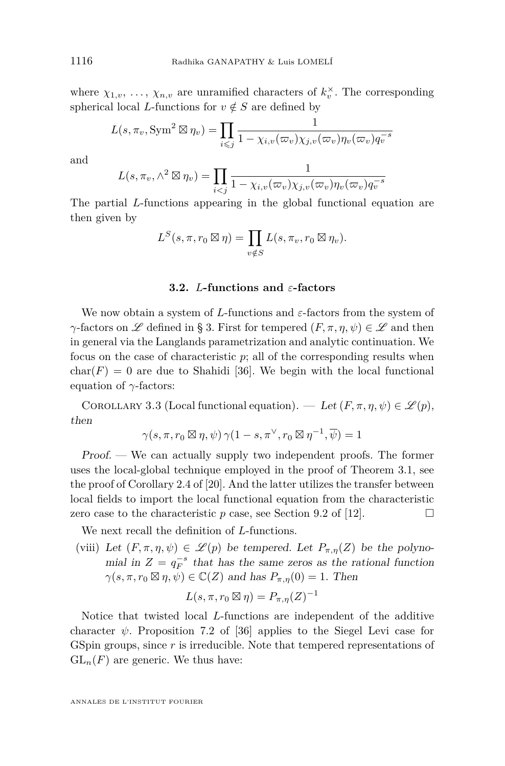<span id="page-12-0"></span>where  $\chi_{1,v}, \ldots, \chi_{n,v}$  are unramified characters of  $k_v^{\times}$ . The corresponding spherical local *L*-functions for  $v \notin S$  are defined by

$$
L(s, \pi_v, \text{Sym}^2 \boxtimes \eta_v) = \prod_{i \leq j} \frac{1}{1 - \chi_{i,v}(\varpi_v) \chi_{j,v}(\varpi_v) \eta_v(\varpi_v) q_v^{-s}}
$$

and

$$
L(s, \pi_v, \wedge^2 \boxtimes \eta_v) = \prod_{i < j} \frac{1}{1 - \chi_{i,v}(\varpi_v) \chi_{j,v}(\varpi_v) \eta_v(\varpi_v) q_v^{-s}}
$$

The partial *L*-functions appearing in the global functional equation are then given by

$$
L^{S}(s,\pi,r_{0}\boxtimes \eta) = \prod_{v \notin S} L(s,\pi_{v},r_{0}\boxtimes \eta_{v}).
$$

#### **3.2.** *L***-functions and** *ε***-factors**

We now obtain a system of *L*-functions and *ε*-factors from the system of *γ*-factors on L defined in § 3. First for tempered  $(F, \pi, \eta, \psi) \in \mathcal{L}$  and then in general via the Langlands parametrization and analytic continuation. We focus on the case of characteristic *p*; all of the corresponding results when  $char(F) = 0$  are due to Shahidi [\[36\]](#page-28-0). We begin with the local functional equation of *γ*-factors:

COROLLARY 3.3 (Local functional equation). — Let  $(F, \pi, \eta, \psi) \in \mathscr{L}(p)$ , then

$$
\gamma(s,\pi,r_0\boxtimes \eta,\psi)\,\gamma(1-s,\pi^\vee,r_0\boxtimes \eta^{-1},\overline{\psi})=1
$$

Proof. — We can actually supply two independent proofs. The former uses the local-global technique employed in the proof of Theorem 3.1, see the proof of Corollary 2.4 of [\[20\]](#page-27-0). And the latter utilizes the transfer between local fields to import the local functional equation from the characteristic zero case to the characteristic  $p$  case, see Section 9.2 of [\[12\]](#page-27-0).

We next recall the definition of *L*-functions.

(viii) Let  $(F, \pi, \eta, \psi) \in \mathcal{L}(p)$  be tempered. Let  $P_{\pi, \eta}(Z)$  be the polynomial in  $Z = q_F^{-s}$  that has the same zeros as the rational function  $\gamma(s, \pi, r_0 \boxtimes \eta, \psi) \in \mathbb{C}(Z)$  and has  $P_{\pi, \eta}(0) = 1$ . Then

$$
L(s, \pi, r_0 \boxtimes \eta) = P_{\pi, \eta}(Z)^{-1}
$$

Notice that twisted local *L*-functions are independent of the additive character  $\psi$ . Proposition 7.2 of [\[36\]](#page-28-0) applies to the Siegel Levi case for GSpin groups, since *r* is irreducible. Note that tempered representations of  $GL_n(F)$  are generic. We thus have: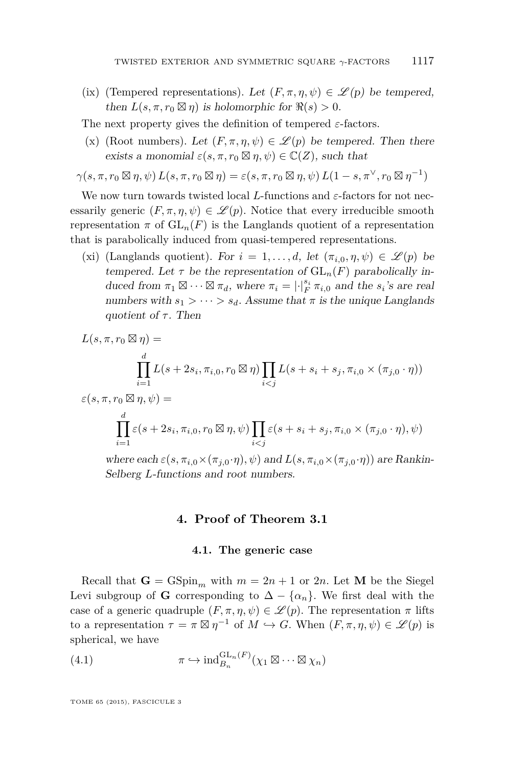<span id="page-13-0"></span>(ix) (Tempered representations). Let  $(F, \pi, \eta, \psi) \in \mathscr{L}(p)$  be tempered, then  $L(s, \pi, r_0 \boxtimes \eta)$  is holomorphic for  $\Re(s) > 0$ .

The next property gives the definition of tempered *ε*-factors.

(x) (Root numbers). Let  $(F, \pi, \eta, \psi) \in \mathcal{L}(p)$  be tempered. Then there exists a monomial  $\varepsilon(s, \pi, r_0 \boxtimes \eta, \psi) \in \mathbb{C}(Z)$ , such that

$$
\gamma(s,\pi,r_0\boxtimes \eta,\psi)\,L(s,\pi,r_0\boxtimes \eta)=\varepsilon(s,\pi,r_0\boxtimes \eta,\psi)\,L(1-s,\pi^\vee,r_0\boxtimes \eta^{-1})
$$

We now turn towards twisted local *L*-functions and *ε*-factors for not necessarily generic  $(F, \pi, \eta, \psi) \in \mathscr{L}(p)$ . Notice that every irreducible smooth representation  $\pi$  of  $GL_n(F)$  is the Langlands quotient of a representation that is parabolically induced from quasi-tempered representations.

(xi) (Langlands quotient). For  $i = 1, ..., d$ , let  $(\pi_{i,0}, \eta, \psi) \in \mathcal{L}(p)$  be tempered. Let  $\tau$  be the representation of  $GL_n(F)$  parabolically induced from  $\pi_1 \boxtimes \cdots \boxtimes \pi_d$ , where  $\pi_i = |\cdot|_F^{s_i} \pi_{i,0}$  and the  $s_i$ 's are real numbers with  $s_1 > \cdots > s_d$ . Assume that  $\pi$  is the unique Langlands quotient of  $\tau$ . Then

$$
L(s, \pi, r_0 \boxtimes \eta) =
$$
  
\n
$$
\prod_{i=1}^d L(s + 2s_i, \pi_{i,0}, r_0 \boxtimes \eta) \prod_{i < j} L(s + s_i + s_j, \pi_{i,0} \times (\pi_{j,0} \cdot \eta))
$$
  
\n
$$
\varepsilon(s, \pi, r_0 \boxtimes \eta, \psi) =
$$
  
\n
$$
\prod_{i=1}^d \varepsilon(s + 2s_i, \pi_{i,0}, r_0 \boxtimes \eta, \psi) \prod_{i < j} \varepsilon(s + s_i + s_j, \pi_{i,0} \times (\pi_{j,0} \cdot \eta), \psi)
$$

where each  $\varepsilon$ ( $s, \pi_{i,0} \times (\pi_{j,0} \cdot \eta), \psi$ ) and  $L(s, \pi_{i,0} \times (\pi_{j,0} \cdot \eta))$  are Rankin-Selberg *L*-functions and root numbers.

#### **4. Proof of Theorem [3.1](#page-10-0)**

#### **4.1. The generic case**

Recall that  $G = GSpin_m$  with  $m = 2n + 1$  or 2*n*. Let M be the Siegel Levi subgroup of **G** corresponding to  $\Delta - {\alpha_n}$ . We first deal with the case of a generic quadruple  $(F, \pi, \eta, \psi) \in \mathscr{L}(p)$ . The representation  $\pi$  lifts to a representation  $\tau = \pi \boxtimes \eta^{-1}$  of  $M \hookrightarrow G$ . When  $(F, \pi, \eta, \psi) \in \mathscr{L}(p)$  is spherical, we have

(4.1) 
$$
\pi \hookrightarrow \mathrm{ind}_{B_n}^{\mathrm{GL}_n(F)}(\chi_1 \boxtimes \cdots \boxtimes \chi_n)
$$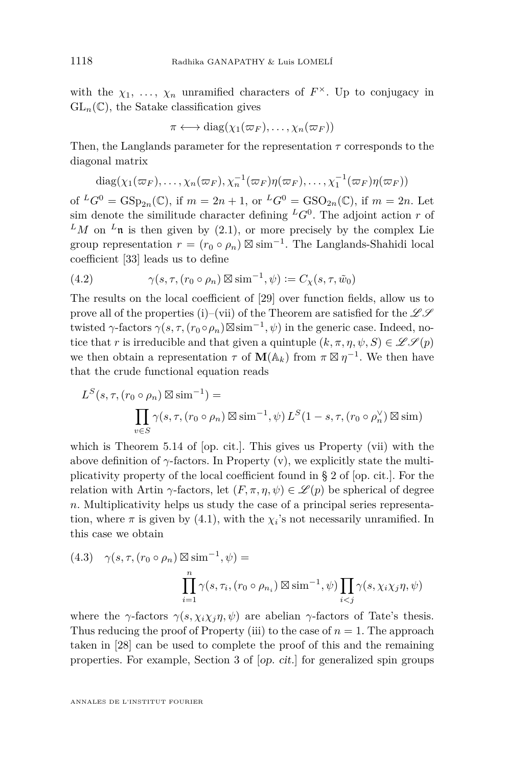<span id="page-14-0"></span>with the  $\chi_1, \ldots, \chi_n$  unramified characters of  $F^{\times}$ . Up to conjugacy in  $GL_n(\mathbb{C})$ , the Satake classification gives

$$
\pi \longleftrightarrow \mathrm{diag}(\chi_1(\varpi_F),\ldots,\chi_n(\varpi_F))
$$

Then, the Langlands parameter for the representation *τ* corresponds to the diagonal matrix

diag
$$
(\chi_1(\varpi_F),..., \chi_n(\varpi_F), \chi_n^{-1}(\varpi_F)\eta(\varpi_F),..., \chi_1^{-1}(\varpi_F)\eta(\varpi_F))
$$

of  ${}^L G^0 = \text{GSp}_{2n}(\mathbb{C})$ , if  $m = 2n + 1$ , or  ${}^L G^0 = \text{GSO}_{2n}(\mathbb{C})$ , if  $m = 2n$ . Let sim denote the similitude character defining  ${}^L G^0$ . The adjoint action *r* of  $^LM$  on  $^L$ **n** is then given by [\(2.1\)](#page-7-0), or more precisely by the complex Lie group representation  $r = (r_0 \circ \rho_n) \boxtimes \text{sim}^{-1}$ . The Langlands-Shahidi local coefficient [\[33\]](#page-28-0) leads us to define

(4.2) 
$$
\gamma(s,\tau,(r_0 \circ \rho_n) \boxtimes \text{sim}^{-1},\psi) := C_{\chi}(s,\tau,\tilde{w}_0)
$$

The results on the local coefficient of [\[29\]](#page-28-0) over function fields, allow us to prove all of the properties (i)–(vii) of the Theorem are satisfied for the  $\mathscr{L}\mathscr{S}$ twisted  $\gamma$ -factors  $\gamma(s, \tau, (r_0 \circ \rho_n) \boxtimes \text{sim}^{-1}, \psi)$  in the generic case. Indeed, notice that *r* is irreducible and that given a quintuple  $(k, \pi, \eta, \psi, S) \in \mathscr{L}(\mathscr{S}(p))$ we then obtain a representation  $\tau$  of  $\mathbf{M}(\mathbb{A}_k)$  from  $\pi \boxtimes \eta^{-1}$ . We then have that the crude functional equation reads

$$
L^{S}(s, \tau, (r_0 \circ \rho_n) \boxtimes \text{sim}^{-1}) =
$$
  

$$
\prod_{v \in S} \gamma(s, \tau, (r_0 \circ \rho_n) \boxtimes \text{sim}^{-1}, \psi) L^{S}(1 - s, \tau, (r_0 \circ \rho_n^{\vee}) \boxtimes \text{sim})
$$

which is Theorem 5.14 of [op. cit.]. This gives us Property (vii) with the above definition of  $\gamma$ -factors. In Property (v), we explicitly state the multiplicativity property of the local coefficient found in § 2 of [op. cit.]. For the relation with Artin *γ*-factors, let  $(F, \pi, \eta, \psi) \in \mathscr{L}(p)$  be spherical of degree *n*. Multiplicativity helps us study the case of a principal series representation, where  $\pi$  is given by [\(4.1\)](#page-13-0), with the  $\chi_i$ 's not necessarily unramified. In this case we obtain

(4.3) 
$$
\gamma(s, \tau, (r_0 \circ \rho_n) \boxtimes \text{sim}^{-1}, \psi) = \prod_{i=1}^n \gamma(s, \tau_i, (r_0 \circ \rho_{n_i}) \boxtimes \text{sim}^{-1}, \psi) \prod_{i < j} \gamma(s, \chi_i \chi_j \eta, \psi)
$$

where the *γ*-factors  $\gamma(s, \chi_i \chi_j \eta, \psi)$  are abelian *γ*-factors of Tate's thesis. Thus reducing the proof of Property (iii) to the case of  $n = 1$ . The approach taken in [\[28\]](#page-28-0) can be used to complete the proof of this and the remaining properties. For example, Section 3 of [op. cit.] for generalized spin groups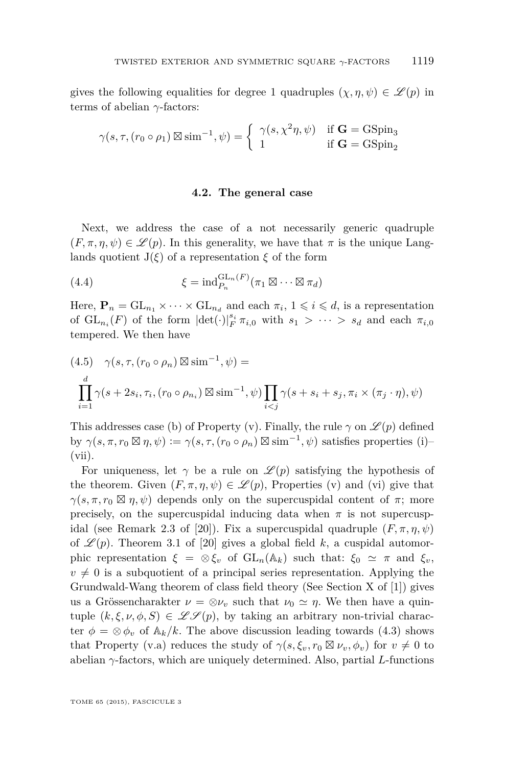<span id="page-15-0"></span>gives the following equalities for degree 1 quadruples  $(\chi, \eta, \psi) \in \mathscr{L}(p)$  in terms of abelian *γ*-factors:

$$
\gamma(s,\tau,(r_0 \circ \rho_1) \boxtimes \text{sim}^{-1},\psi) = \begin{cases} \gamma(s,\chi^2 \eta,\psi) & \text{if } \mathbf{G} = \text{GSpin}_3\\ 1 & \text{if } \mathbf{G} = \text{GSpin}_2 \end{cases}
$$

#### **4.2. The general case**

Next, we address the case of a not necessarily generic quadruple  $(F, \pi, \eta, \psi) \in \mathscr{L}(p)$ . In this generality, we have that  $\pi$  is the unique Langlands quotient  $J(\xi)$  of a representation  $\xi$  of the form

(4.4) 
$$
\xi = \text{ind}_{P_n}^{\text{GL}_n(F)}(\pi_1 \boxtimes \cdots \boxtimes \pi_d)
$$

Here,  $\mathbf{P}_n = GL_{n_1} \times \cdots \times GL_{n_d}$  and each  $\pi_i$ ,  $1 \leq i \leq d$ , is a representation of  $GL_{n_i}(F)$  of the form  $|\det(\cdot)|_F^{s_i} \pi_{i,0}$  with  $s_1 > \cdots > s_d$  and each  $\pi_{i,0}$ tempered. We then have

$$
(4.5) \quad \gamma(s,\tau,(r_0 \circ \rho_n) \boxtimes \text{sim}^{-1},\psi) =
$$
  

$$
\prod_{i=1}^d \gamma(s+2s_i,\tau_i,(r_0 \circ \rho_{n_i}) \boxtimes \text{sim}^{-1},\psi) \prod_{i
$$

This addresses case (b) of Property (v). Finally, the rule  $\gamma$  on  $\mathscr{L}(p)$  defined by  $\gamma(s, \pi, r_0 \boxtimes \eta, \psi) := \gamma(s, \tau, (r_0 \circ \rho_n) \boxtimes \text{sim}^{-1}, \psi)$  satisfies properties (i)– (vii).

For uniqueness, let  $\gamma$  be a rule on  $\mathscr{L}(p)$  satisfying the hypothesis of the theorem. Given  $(F, \pi, \eta, \psi) \in \mathscr{L}(p)$ , Properties (v) and (vi) give that  $\gamma(s, \pi, r_0 \boxtimes \eta, \psi)$  depends only on the supercuspidal content of  $\pi$ ; more precisely, on the supercuspidal inducing data when  $\pi$  is not supercusp-idal (see Remark 2.3 of [\[20\]](#page-27-0)). Fix a supercuspidal quadruple  $(F, \pi, \eta, \psi)$ of  $\mathcal{L}(p)$ . Theorem 3.1 of [\[20\]](#page-27-0) gives a global field k, a cuspidal automorphic representation  $\xi = \otimes \xi_v$  of  $GL_n(\mathbb{A}_k)$  such that:  $\xi_0 \simeq \pi$  and  $\xi_v$ ,  $v \neq 0$  is a subquotient of a principal series representation. Applying the Grundwald-Wang theorem of class field theory (See Section X of [\[1\]](#page-26-0)) gives us a Grössencharakter  $\nu = \otimes \nu_v$  such that  $\nu_0 \simeq \eta$ . We then have a quintuple  $(k, \xi, \nu, \phi, S) \in \mathscr{L}(\mathcal{P})$ , by taking an arbitrary non-trivial character  $\phi = \otimes \phi_v$  of  $\mathbb{A}_k/k$ . The above discussion leading towards [\(4.3\)](#page-14-0) shows that Property (v.a) reduces the study of  $\gamma(s, \xi_v, r_0 \boxtimes \nu_v, \phi_v)$  for  $v \neq 0$  to abelian *γ*-factors, which are uniquely determined. Also, partial *L*-functions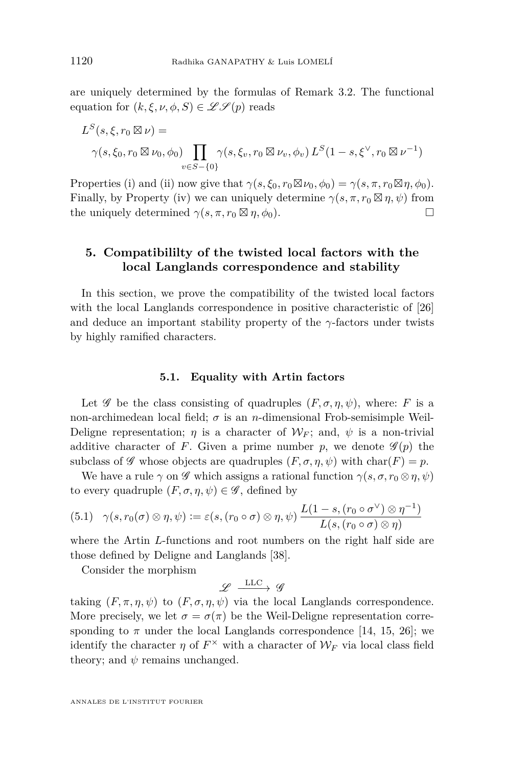<span id="page-16-0"></span>are uniquely determined by the formulas of Remark [3.2.](#page-11-0) The functional equation for  $(k, \xi, \nu, \phi, S) \in \mathscr{L} \mathscr{S}(p)$  reads

$$
L^{S}(s, \xi, r_{0} \boxtimes \nu) =
$$
  
 
$$
\gamma(s, \xi_{0}, r_{0} \boxtimes \nu_{0}, \phi_{0}) \prod_{v \in S - \{0\}} \gamma(s, \xi_{v}, r_{0} \boxtimes \nu_{v}, \phi_{v}) L^{S}(1 - s, \xi^{\vee}, r_{0} \boxtimes \nu^{-1})
$$

Properties (i) and (ii) now give that  $\gamma(s, \xi_0, r_0 \boxtimes \nu_0, \phi_0) = \gamma(s, \pi, r_0 \boxtimes \eta, \phi_0)$ . Finally, by Property (iv) we can uniquely determine  $\gamma(s, \pi, r_0 \boxtimes \eta, \psi)$  from the uniquely determined  $\gamma(s, \pi, r_0 \boxtimes \eta, \phi_0)$ .

#### **5. Compatibililty of the twisted local factors with the local Langlands correspondence and stability**

In this section, we prove the compatibility of the twisted local factors with the local Langlands correspondence in positive characteristic of [\[26\]](#page-28-0) and deduce an important stability property of the  $\gamma$ -factors under twists by highly ramified characters.

#### **5.1. Equality with Artin factors**

Let  $\mathscr G$  be the class consisting of quadruples  $(F, \sigma, \eta, \psi)$ , where: *F* is a non-archimedean local field;  $\sigma$  is an *n*-dimensional Frob-semisimple Weil-Deligne representation;  $\eta$  is a character of  $W_F$ ; and,  $\psi$  is a non-trivial additive character of *F*. Given a prime number *p*, we denote  $\mathscr{G}(p)$  the subclass of  $\mathscr G$  whose objects are quadruples  $(F, \sigma, \eta, \psi)$  with char $(F) = p$ .

We have a rule  $\gamma$  on  $\mathscr G$  which assigns a rational function  $\gamma(s, \sigma, r_0 \otimes \eta, \psi)$ to every quadruple  $(F, \sigma, \eta, \psi) \in \mathscr{G}$ , defined by

$$
(5.1) \quad \gamma(s,r_0(\sigma) \otimes \eta,\psi) := \varepsilon(s,(r_0 \circ \sigma) \otimes \eta,\psi) \frac{L(1-s,(r_0 \circ \sigma^{\vee}) \otimes \eta^{-1})}{L(s,(r_0 \circ \sigma) \otimes \eta)}
$$

where the Artin *L*-functions and root numbers on the right half side are those defined by Deligne and Langlands [\[38\]](#page-28-0).

Consider the morphism

 $\mathscr{L} \xrightarrow{\text{LLC}} \mathscr{G}$ 

taking  $(F, \pi, \eta, \psi)$  to  $(F, \sigma, \eta, \psi)$  via the local Langlands correspondence. More precisely, we let  $\sigma = \sigma(\pi)$  be the Weil-Deligne representation corresponding to  $\pi$  under the local Langlands correspondence [\[14,](#page-27-0) [15,](#page-27-0) [26\]](#page-28-0); we identify the character  $\eta$  of  $F^{\times}$  with a character of  $\mathcal{W}_F$  via local class field theory; and  $\psi$  remains unchanged.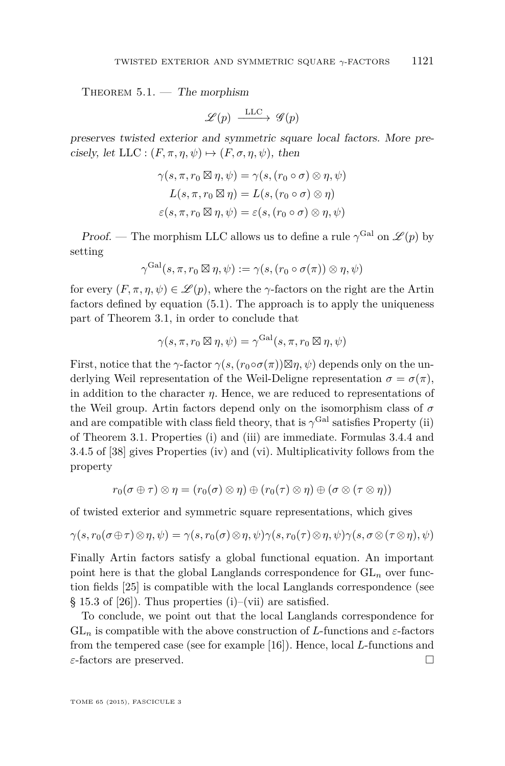<span id="page-17-0"></span>THEOREM  $5.1.$  — The morphism

$$
\mathscr{L}(p) \xrightarrow{\text{LLC}} \mathscr{G}(p)
$$

preserves twisted exterior and symmetric square local factors. More precisely, let LLC :  $(F, \pi, \eta, \psi) \mapsto (F, \sigma, \eta, \psi)$ , then

$$
\gamma(s, \pi, r_0 \boxtimes \eta, \psi) = \gamma(s, (r_0 \circ \sigma) \otimes \eta, \psi)
$$
  

$$
L(s, \pi, r_0 \boxtimes \eta) = L(s, (r_0 \circ \sigma) \otimes \eta)
$$
  

$$
\varepsilon(s, \pi, r_0 \boxtimes \eta, \psi) = \varepsilon(s, (r_0 \circ \sigma) \otimes \eta, \psi)
$$

Proof. — The morphism LLC allows us to define a rule  $\gamma^{\text{Gal}}$  on  $\mathscr{L}(p)$  by setting

$$
\gamma^{\operatorname{Gal}}(s,\pi,r_0\boxtimes \eta,\psi) := \gamma(s,(r_0\circ \sigma(\pi))\otimes \eta,\psi)
$$

for every  $(F, \pi, \eta, \psi) \in \mathscr{L}(p)$ , where the  $\gamma$ -factors on the right are the Artin factors defined by equation [\(5.1\)](#page-16-0). The approach is to apply the uniqueness part of Theorem 3.1, in order to conclude that

$$
\gamma(s,\pi,r_0\boxtimes \eta,\psi) = \gamma^{\operatorname{Gal}}(s,\pi,r_0\boxtimes \eta,\psi)
$$

First, notice that the *γ*-factor  $\gamma(s,(r_0 \circ \sigma(\pi))\boxtimes \eta, \psi)$  depends only on the underlying Weil representation of the Weil-Deligne representation  $\sigma = \sigma(\pi)$ , in addition to the character  $\eta$ . Hence, we are reduced to representations of the Weil group. Artin factors depend only on the isomorphism class of *σ* and are compatible with class field theory, that is  $\gamma^{\text{Gal}}$  satisfies Property (ii) of Theorem 3.1. Properties (i) and (iii) are immediate. Formulas 3.4.4 and 3.4.5 of [\[38\]](#page-28-0) gives Properties (iv) and (vi). Multiplicativity follows from the property

$$
r_0(\sigma \oplus \tau) \otimes \eta = (r_0(\sigma) \otimes \eta) \oplus (r_0(\tau) \otimes \eta) \oplus (\sigma \otimes (\tau \otimes \eta))
$$

of twisted exterior and symmetric square representations, which gives

$$
\gamma(s,r_0(\sigma\oplus\tau)\otimes\eta,\psi)=\gamma(s,r_0(\sigma)\otimes\eta,\psi)\gamma(s,r_0(\tau)\otimes\eta,\psi)\gamma(s,\sigma\otimes(\tau\otimes\eta),\psi)
$$

Finally Artin factors satisfy a global functional equation. An important point here is that the global Langlands correspondence for  $GL_n$  over function fields [\[25\]](#page-28-0) is compatible with the local Langlands correspondence (see § 15.3 of [\[26\]](#page-28-0)). Thus properties (i)–(vii) are satisfied.

To conclude, we point out that the local Langlands correspondence for  $GL_n$  is compatible with the above construction of *L*-functions and  $\varepsilon$ -factors from the tempered case (see for example [\[16\]](#page-27-0)). Hence, local *L*-functions and *ε*-factors are preserved.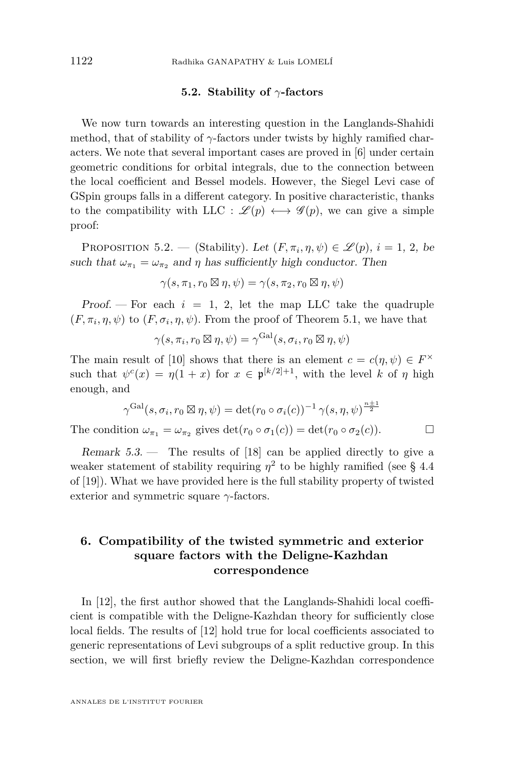#### **5.2. Stability of** *γ***-factors**

<span id="page-18-0"></span>We now turn towards an interesting question in the Langlands-Shahidi method, that of stability of  $\gamma$ -factors under twists by highly ramified characters. We note that several important cases are proved in [\[6\]](#page-27-0) under certain geometric conditions for orbital integrals, due to the connection between the local coefficient and Bessel models. However, the Siegel Levi case of GSpin groups falls in a different category. In positive characteristic, thanks to the compatibility with LLC :  $\mathscr{L}(p) \longleftrightarrow \mathscr{G}(p)$ , we can give a simple proof:

PROPOSITION 5.2. — (Stability). Let  $(F, \pi_i, \eta, \psi) \in \mathscr{L}(p)$ ,  $i = 1, 2$ , be such that  $\omega_{\pi_1} = \omega_{\pi_2}$  and  $\eta$  has sufficiently high conductor. Then

 $\gamma(s, \pi_1, r_0 \boxtimes \eta, \psi) = \gamma(s, \pi_2, r_0 \boxtimes \eta, \psi)$ 

Proof.  $\overline{ }$  For each  $i = 1, 2$ , let the map LLC take the quadruple  $(F, \pi_i, \eta, \psi)$  to  $(F, \sigma_i, \eta, \psi)$ . From the proof of Theorem [5.1,](#page-17-0) we have that

$$
\gamma(s, \pi_i, r_0 \boxtimes \eta, \psi) = \gamma^{\text{Gal}}(s, \sigma_i, r_0 \boxtimes \eta, \psi)
$$

The main result of [\[10\]](#page-27-0) shows that there is an element  $c = c(\eta, \psi) \in F^{\times}$ such that  $\psi^c(x) = \eta(1+x)$  for  $x \in \mathfrak{p}^{[k/2]+1}$ , with the level k of  $\eta$  high enough, and

$$
\gamma^{\text{Gal}}(s, \sigma_i, r_0 \boxtimes \eta, \psi) = \det(r_0 \circ \sigma_i(c))^{-1} \gamma(s, \eta, \psi)^{\frac{n+1}{2}}
$$

The condition  $\omega_{\pi_1} = \omega_{\pi_2}$  gives  $\det(r_0 \circ \sigma_1(c)) = \det(r_0 \circ \sigma_2(c)).$ 

Remark  $5.3.$  — The results of [\[18\]](#page-27-0) can be applied directly to give a weaker statement of stability requiring  $\eta^2$  to be highly ramified (see § 4.4) of [\[19\]](#page-27-0)). What we have provided here is the full stability property of twisted exterior and symmetric square *γ*-factors.

#### **6. Compatibility of the twisted symmetric and exterior square factors with the Deligne-Kazhdan correspondence**

In [\[12\]](#page-27-0), the first author showed that the Langlands-Shahidi local coefficient is compatible with the Deligne-Kazhdan theory for sufficiently close local fields. The results of [\[12\]](#page-27-0) hold true for local coefficients associated to generic representations of Levi subgroups of a split reductive group. In this section, we will first briefly review the Deligne-Kazhdan correspondence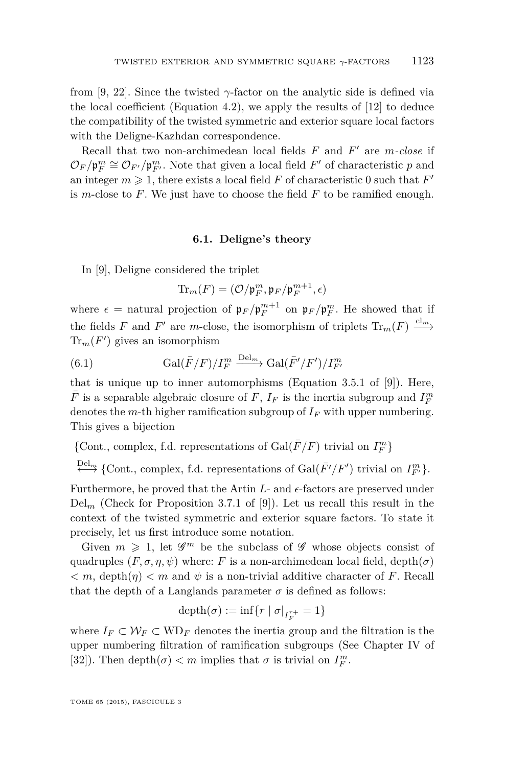<span id="page-19-0"></span>from [\[9,](#page-27-0) [22\]](#page-27-0). Since the twisted *γ*-factor on the analytic side is defined via the local coefficient (Equation [4.2\)](#page-14-0), we apply the results of [\[12\]](#page-27-0) to deduce the compatibility of the twisted symmetric and exterior square local factors with the Deligne-Kazhdan correspondence.

Recall that two non-archimedean local fields  $F$  and  $F'$  are  $m$ *-close* if  $\mathcal{O}_F/\mathfrak{p}_F^m \cong \mathcal{O}_{F'}/\mathfrak{p}_{F'}^m$ . Note that given a local field  $F'$  of characteristic  $p$  and an integer  $m \geq 1$ , there exists a local field  $F$  of characteristic 0 such that  $F'$ is *m*-close to *F*. We just have to choose the field *F* to be ramified enough.

#### **6.1. Deligne's theory**

In [\[9\]](#page-27-0), Deligne considered the triplet

$$
\mathrm{Tr}_m(F) = (\mathcal{O}/\mathfrak{p}_F^m, \mathfrak{p}_F/\mathfrak{p}_F^{m+1}, \epsilon)
$$

where  $\epsilon$  = natural projection of  $\mathfrak{p}_F/\mathfrak{p}_F^{m+1}$  on  $\mathfrak{p}_F/\mathfrak{p}_F^m$ . He showed that if the fields *F* and *F*<sup>'</sup> are *m*-close, the isomorphism of triplets  $\text{Tr}_m(F) \xrightarrow{cl_m}$  $\text{Tr}_m(F')$  gives an isomorphism

(6.1) 
$$
\text{Gal}(\bar{F}/F)/I_F^m \xrightarrow{\text{Del}_m} \text{Gal}(\bar{F}'/F')/I_{F'}^m
$$

that is unique up to inner automorphisms (Equation 3.5.1 of [\[9\]](#page-27-0)). Here,  $\bar{F}$  is a separable algebraic closure of  $F,$   $I_F$  is the inertia subgroup and  $I_F^m$ denotes the *m*-th higher ramification subgroup of *I<sup>F</sup>* with upper numbering. This gives a bijection

 $\{\mathrm{Cont.}, \, \mathrm{complex}, \, \mathrm{f.d.} \,$  representations of  $\mathrm{Gal}(\bar{F}/F)$  trivial on  $I_F^m\}$ 

 $\stackrel{\text{Del}_m}{\longleftrightarrow}$  {Cont., complex, f.d. representations of Gal( $\bar{F}'/F'$ ) trivial on  $I^m_{F'}$ }.

Furthermore, he proved that the Artin *L*- and  $\epsilon$ -factors are preserved under  $Del_m$  (Check for Proposition 3.7.1 of [\[9\]](#page-27-0)). Let us recall this result in the context of the twisted symmetric and exterior square factors. To state it precisely, let us first introduce some notation.

Given  $m \geq 1$ , let  $\mathscr{G}^m$  be the subclass of  $\mathscr{G}$  whose objects consist of quadruples  $(F, \sigma, \eta, \psi)$  where: *F* is a non-archimedean local field, depth $(\sigma)$  $\langle m, \text{depth}(n) \rangle \langle m \text{ and } \psi \text{ is a non-trivial additive character of } F. \text{ Recall}$ that the depth of a Langlands parameter  $\sigma$  is defined as follows:

$$
\operatorname{depth}(\sigma) := \inf\{r \mid \sigma|_{I_F^{r+}} = 1\}
$$

where  $I_F \subset \mathcal{W}_F \subset \text{WD}_F$  denotes the inertia group and the filtration is the upper numbering filtration of ramification subgroups (See Chapter IV of [\[32\]](#page-28-0)). Then  $\text{depth}(\sigma) < m$  implies that  $\sigma$  is trivial on  $I_F^m$ .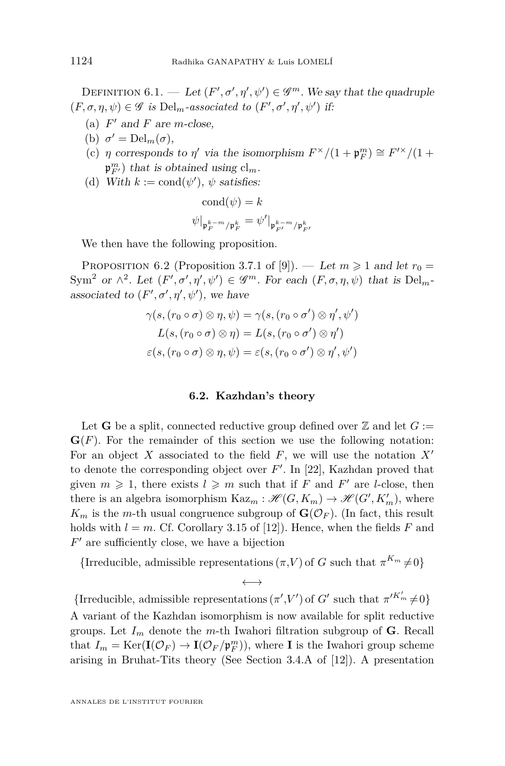<span id="page-20-0"></span>DEFINITION  $6.1.$  — Let  $(F', \sigma', \eta', \psi') \in \mathscr{G}^m$ . We say that the quadruple  $(F, \sigma, \eta, \psi) \in \mathscr{G}$  *is* Del<sub>m</sub>-associated to  $(F', \sigma', \eta', \psi')$  if:

- (a)  $F'$  and  $F$  are *m*-close,
- (b)  $\sigma' = \text{Del}_m(\sigma)$ ,
- (c) *η* corresponds to *η'* via the isomorphism  $F^{\times}/(1 + \mathfrak{p}_F^m) \cong F'^{\times}/(1 +$  $\mathfrak{p}_{F'}^m$ ) that is obtained using  $cl_m$ .
- (d) With  $k := \text{cond}(\psi')$ ,  $\psi$  satisfies:

$$
cond(\psi) = k
$$

$$
\psi|_{\mathfrak{p}_F^{k-m}/\mathfrak{p}_F^k} = \psi'|_{\mathfrak{p}_{F'}^{k-m}/\mathfrak{p}_{F'}^k}
$$

We then have the following proposition.

PROPOSITION 6.2 (Proposition 3.7.1 of [\[9\]](#page-27-0)). — Let  $m \geq 1$  and let  $r_0 =$ Sym<sup>2</sup> or  $\wedge^2$ . Let  $(F', \sigma', \eta', \psi') \in \mathscr{G}^m$ . For each  $(F, \sigma, \eta, \psi)$  that is Del<sub>m</sub>associated to  $(F', \sigma', \eta', \psi')$ , we have

$$
\gamma(s, (r_0 \circ \sigma) \otimes \eta, \psi) = \gamma(s, (r_0 \circ \sigma') \otimes \eta', \psi')
$$
  

$$
L(s, (r_0 \circ \sigma) \otimes \eta) = L(s, (r_0 \circ \sigma') \otimes \eta')
$$
  

$$
\varepsilon(s, (r_0 \circ \sigma) \otimes \eta, \psi) = \varepsilon(s, (r_0 \circ \sigma') \otimes \eta', \psi')
$$

#### **6.2. Kazhdan's theory**

Let **G** be a split, connected reductive group defined over  $\mathbb{Z}$  and let  $G :=$  $\mathbf{G}(F)$ . For the remainder of this section we use the following notation: For an object X associated to the field  $F$ , we will use the notation  $X'$ to denote the corresponding object over  $F'$ . In [\[22\]](#page-27-0), Kazhdan proved that given  $m \geq 1$ , there exists  $l \geq m$  such that if *F* and *F'* are *l*-close, then there is an algebra isomorphism  $\text{Kaz}_m : \mathcal{H}(G, K_m) \to \mathcal{H}(G', K'_m)$ , where  $K_m$  is the *m*-th usual congruence subgroup of  $\mathbf{G}(\mathcal{O}_F)$ . (In fact, this result holds with  $l = m$ . Cf. Corollary 3.15 of [\[12\]](#page-27-0)). Hence, when the fields F and  $F'$  are sufficiently close, we have a bijection

{Irreducible, admissible representations  $(\pi, V)$  of *G* such that  $\pi^{K_m} \neq 0$ }  $\longleftrightarrow$ 

{Irreducible, admissible representations  $(\pi', V')$  of *G*' such that  $\pi'^{K'_{m}} \neq 0$ } A variant of the Kazhdan isomorphism is now available for split reductive groups. Let  $I_m$  denote the *m*-th Iwahori filtration subgroup of **G**. Recall that  $I_m = \text{Ker}(\mathbf{I}(\mathcal{O}_F) \to \mathbf{I}(\mathcal{O}_F/\mathfrak{p}_F^m))$ , where **I** is the Iwahori group scheme arising in Bruhat-Tits theory (See Section 3.4.A of [\[12\]](#page-27-0)). A presentation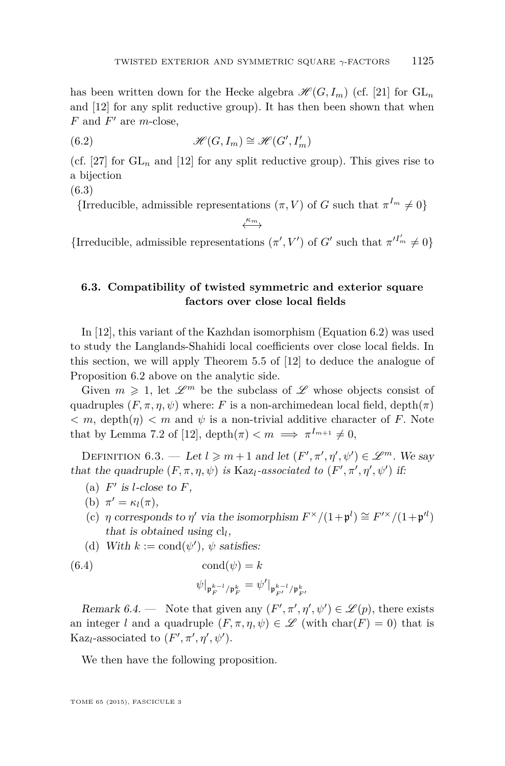<span id="page-21-0"></span>has been written down for the Hecke algebra  $\mathcal{H}(G, I_m)$  (cf. [\[21\]](#page-27-0) for  $GL_n$ and [\[12\]](#page-27-0) for any split reductive group). It has then been shown that when  $F$  and  $F'$  are  $m$ -close,

(6.2) 
$$
\mathscr{H}(G, I_m) \cong \mathscr{H}(G', I'_m)
$$

(cf. [\[27\]](#page-28-0) for  $GL_n$  and [\[12\]](#page-27-0) for any split reductive group). This gives rise to a bijection

(6.3)

{Irreducible, admissible representations  $(\pi, V)$  of *G* such that  $\pi^{I_m} \neq 0$ }

←→ *κ<sup>m</sup>*

{Irreducible, admissible representations  $(\pi', V')$  of *G'* such that  $\pi'^{I'_{m}} \neq 0$ }

#### **6.3. Compatibility of twisted symmetric and exterior square factors over close local fields**

In [\[12\]](#page-27-0), this variant of the Kazhdan isomorphism (Equation 6.2) was used to study the Langlands-Shahidi local coefficients over close local fields. In this section, we will apply Theorem 5.5 of [\[12\]](#page-27-0) to deduce the analogue of Proposition [6.2](#page-20-0) above on the analytic side.

Given  $m \geq 1$ , let  $\mathscr{L}^m$  be the subclass of  $\mathscr{L}$  whose objects consist of quadruples  $(F, \pi, \eta, \psi)$  where: *F* is a non-archimedean local field, depth $(\pi)$  $\langle m, \text{depth}(n) \rangle \langle m \text{ and } \psi \rangle$  is a non-trivial additive character of *F*. Note that by Lemma 7.2 of [\[12\]](#page-27-0), depth $(\pi) < m \implies \pi^{I_{m+1}} \neq 0$ ,

DEFINITION  $6.3.$  — Let  $l \geq m+1$  and let  $(F', \pi', \eta', \psi') \in \mathscr{L}^m$ . We say that the quadruple  $(F, \pi, \eta, \psi)$  *is* Kaz<sub>l</sub>-associated to  $(F', \pi', \eta', \psi')$  if:

- (a)  $F'$  is *l*-close to  $F$ ,
- (b)  $\pi' = \kappa_l(\pi)$ ,
- (c) *η* corresponds to *η'* via the isomorphism  $F^{\times}/(1+\mathfrak{p}^{l}) \cong F^{\prime \times}/(1+\mathfrak{p}^{l})$ that is obtained using cl*<sup>l</sup>* ,
- (d) With  $k := \text{cond}(\psi')$ ,  $\psi$  satisfies:

(6.4) cond(*ψ*) = *k*

$$
\psi|_{\mathfrak{p}_F^{k-l}/\mathfrak{p}_F^k}=\psi'|_{\mathfrak{p}_{F'}^{k-l}/\mathfrak{p}_{F'}^k}
$$

Remark 6.4. — Note that given any  $(F', \pi', \eta', \psi') \in \mathcal{L}(p)$ , there exists an integer *l* and a quadruple  $(F, \pi, \eta, \psi) \in \mathscr{L}$  (with char(*F*) = 0) that is Kaz<sub>l</sub>-associated to  $(F', \pi', \eta', \psi')$ .

We then have the following proposition.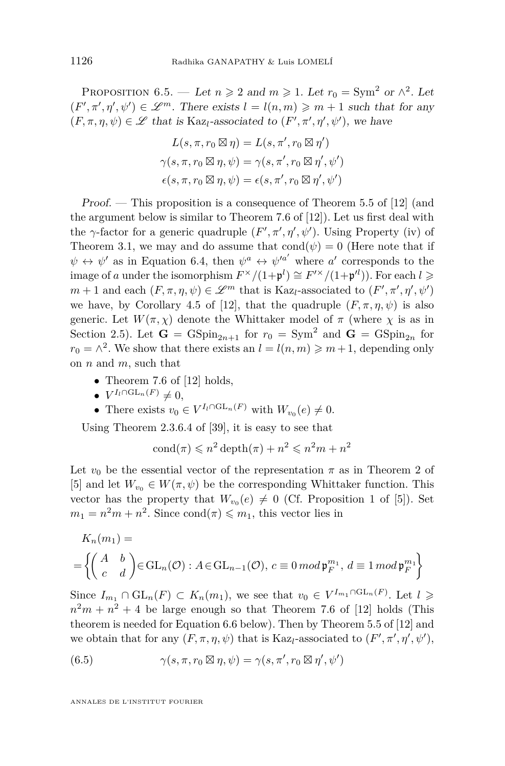<span id="page-22-0"></span>PROPOSITION 6.5. — Let  $n \ge 2$  and  $m \ge 1$ . Let  $r_0 = \text{Sym}^2$  or  $\wedge^2$ . Let  $(F', \pi', \eta', \psi') \in \mathcal{L}^m$ . There exists  $l = l(n, m) \geq m + 1$  such that for any  $(F, \pi, \eta, \psi) \in \mathscr{L}$  that is Kaz<sub>l</sub>-associated to  $(F', \pi', \eta', \psi')$ , we have

$$
L(s, \pi, r_0 \boxtimes \eta) = L(s, \pi', r_0 \boxtimes \eta')
$$
  

$$
\gamma(s, \pi, r_0 \boxtimes \eta, \psi) = \gamma(s, \pi', r_0 \boxtimes \eta', \psi')
$$
  

$$
\epsilon(s, \pi, r_0 \boxtimes \eta, \psi) = \epsilon(s, \pi', r_0 \boxtimes \eta', \psi')
$$

Proof. — This proposition is a consequence of Theorem 5.5 of [\[12\]](#page-27-0) (and the argument below is similar to Theorem 7.6 of [\[12\]](#page-27-0)). Let us first deal with the  $\gamma$ -factor for a generic quadruple  $(F', \pi', \eta', \psi')$ . Using Property (iv) of Theorem [3.1,](#page-10-0) we may and do assume that  $\text{cond}(\psi) = 0$  (Here note that if  $\psi \leftrightarrow \psi'$  as in Equation [6.4,](#page-21-0) then  $\psi^a \leftrightarrow \psi'^{a'}$  where *a'* corresponds to the image of *a* under the isomorphism  $F^{\times}/(1+\mathfrak{p}^{l}) \cong F^{\prime \times}/(1+\mathfrak{p}^{l})$ ). For each  $l \geqslant$ *m* + 1 and each  $(F, \pi, \eta, \psi) \in \mathcal{L}^m$  that is Kaz<sub>*l*</sub>-associated to  $(F', \pi', \eta', \psi')$ we have, by Corollary 4.5 of [\[12\]](#page-27-0), that the quadruple  $(F, \pi, \eta, \psi)$  is also generic. Let  $W(\pi, \chi)$  denote the Whittaker model of  $\pi$  (where  $\chi$  is as in Section [2.5\)](#page-8-0). Let  $G = GSpin_{2n+1}$  for  $r_0 = Sym^2$  and  $G = GSpin_{2n}$  for  $r_0 = \wedge^2$ . We show that there exists an  $l = l(n, m) \geq m + 1$ , depending only on *n* and *m*, such that

- Theorem 7.6 of [\[12\]](#page-27-0) holds,
- $V^{I_l \cap GL_n(F)} \neq 0,$
- There exists  $v_0 \in V^{I_l \cap \mathrm{GL}_n(F)}$  with  $W_{v_0}(e) \neq 0$ .

Using Theorem 2.3.6.4 of [\[39\]](#page-28-0), it is easy to see that

$$
cond(\pi) \leqslant n^2 \operatorname{depth}(\pi) + n^2 \leqslant n^2 m + n^2
$$

Let  $v_0$  be the essential vector of the representation  $\pi$  as in Theorem 2 of [\[5\]](#page-27-0) and let  $W_{v_0} \in W(\pi, \psi)$  be the corresponding Whittaker function. This vector has the property that  $W_{v_0}(e) \neq 0$  (Cf. Proposition 1 of [\[5\]](#page-27-0)). Set  $m_1 = n^2m + n^2$ . Since cond $(\pi) \leq m_1$ , this vector lies in

$$
K_n(m_1) =
$$
  
=  $\left\{ \begin{pmatrix} A & b \\ c & d \end{pmatrix} \in GL_n(\mathcal{O}) : A \in GL_{n-1}(\mathcal{O}), c \equiv 0 \mod \mathfrak{p}_F^{m_1}, d \equiv 1 \mod \mathfrak{p}_F^{m_1} \right\}$ 

Since  $I_{m_1} \cap GL_n(F) \subset K_n(m_1)$ , we see that  $v_0 \in V^{I_{m_1} \cap GL_n(F)}$ . Let  $l \geq$  $n^2m + n^2 + 4$  be large enough so that Theorem 7.6 of [\[12\]](#page-27-0) holds (This theorem is needed for Equation [6.6](#page-23-0) below). Then by Theorem 5.5 of [\[12\]](#page-27-0) and we obtain that for any  $(F, \pi, \eta, \psi)$  that is Kaz<sub>l</sub>-associated to  $(F', \pi', \eta', \psi')$ ,

(6.5) 
$$
\gamma(s, \pi, r_0 \boxtimes \eta, \psi) = \gamma(s, \pi', r_0 \boxtimes \eta', \psi')
$$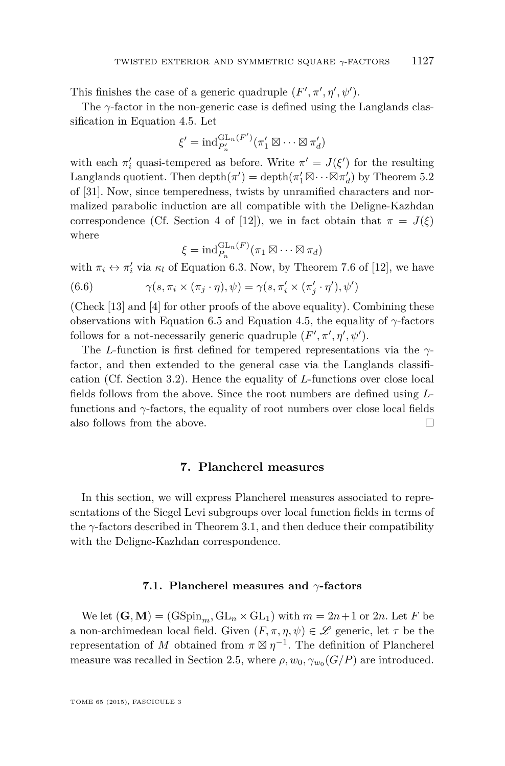<span id="page-23-0"></span>This finishes the case of a generic quadruple  $(F', \pi', \eta', \psi')$ .

The *γ*-factor in the non-generic case is defined using the Langlands classification in Equation [4.5.](#page-15-0) Let

$$
\xi' = \mathrm{ind}_{P'_n}^{\mathrm{GL}_n(F')}(\pi'_1 \boxtimes \cdots \boxtimes \pi'_d)
$$

with each  $\pi'$  quasi-tempered as before. Write  $\pi' = J(\xi')$  for the resulting Langlands quotient. Then  $\text{depth}(\pi') = \text{depth}(\pi'_1 \boxtimes \cdots \boxtimes \pi'_d)$  by Theorem 5.2 of [\[31\]](#page-28-0). Now, since temperedness, twists by unramified characters and normalized parabolic induction are all compatible with the Deligne-Kazhdan correspondence (Cf. Section 4 of [\[12\]](#page-27-0)), we in fact obtain that  $\pi = J(\xi)$ where

$$
\xi = \mathrm{ind}_{P_n}^{\mathrm{GL}_n(F)}(\pi_1 \boxtimes \cdots \boxtimes \pi_d)
$$

with  $\pi_i \leftrightarrow \pi'_i$  via  $\kappa_l$  of Equation [6.3.](#page-21-0) Now, by Theorem 7.6 of [\[12\]](#page-27-0), we have

(6.6) 
$$
\gamma(s, \pi_i \times (\pi_j \cdot \eta), \psi) = \gamma(s, \pi'_i \times (\pi'_j \cdot \eta'), \psi')
$$

(Check [\[13\]](#page-27-0) and [\[4\]](#page-27-0) for other proofs of the above equality). Combining these observations with Equation [6.5](#page-22-0) and Equation [4.5,](#page-15-0) the equality of *γ*-factors follows for a not-necessarily generic quadruple  $(F', \pi', \eta', \psi')$ .

The *L*-function is first defined for tempered representations via the *γ*factor, and then extended to the general case via the Langlands classification (Cf. Section [3.2\)](#page-12-0). Hence the equality of *L*-functions over close local fields follows from the above. Since the root numbers are defined using *L*functions and  $\gamma$ -factors, the equality of root numbers over close local fields also follows from the above.  $\Box$ 

#### **7. Plancherel measures**

In this section, we will express Plancherel measures associated to representations of the Siegel Levi subgroups over local function fields in terms of the  $\gamma$ -factors described in Theorem [3.1,](#page-10-0) and then deduce their compatibility with the Deligne-Kazhdan correspondence.

#### **7.1. Plancherel measures and** *γ***-factors**

We let  $(G, M) = (GSpin<sub>m</sub>, GL<sub>n</sub> \times GL<sub>1</sub>)$  with  $m = 2n + 1$  or 2*n*. Let *F* be a non-archimedean local field. Given  $(F, \pi, \eta, \psi) \in \mathscr{L}$  generic, let  $\tau$  be the representation of *M* obtained from  $\pi \boxtimes \eta^{-1}$ . The definition of Plancherel measure was recalled in Section [2.5,](#page-8-0) where  $\rho$ ,  $w_0$ ,  $\gamma_{w_0}(G/P)$  are introduced.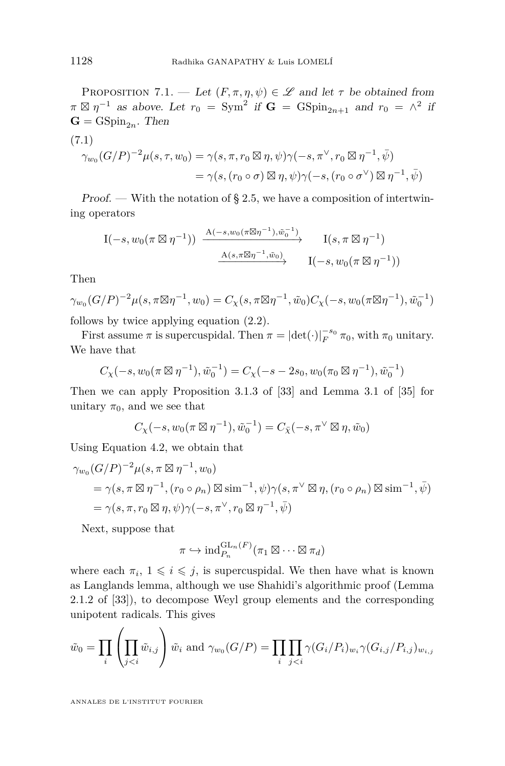<span id="page-24-0"></span>PROPOSITION 7.1. — Let  $(F, \pi, \eta, \psi) \in \mathscr{L}$  and let  $\tau$  be obtained from  $\pi \boxtimes \eta^{-1}$  as above. Let  $r_0 = \text{Sym}^2$  if  $\mathbf{G} = \text{GSpin}_{2n+1}$  and  $r_0 = \wedge^2$  if  $\mathbf{G} = \text{GSpin}_{2n}$ . Then

$$
(7.1)
$$
  
\n
$$
\gamma_{w_0}(G/P)^{-2}\mu(s,\tau,w_0) = \gamma(s,\pi,r_0 \boxtimes \eta,\psi)\gamma(-s,\pi^\vee,r_0 \boxtimes \eta^{-1},\bar{\psi})
$$
  
\n
$$
= \gamma(s,(r_0 \circ \sigma) \boxtimes \eta,\psi)\gamma(-s,(r_0 \circ \sigma^\vee) \boxtimes \eta^{-1},\bar{\psi})
$$

Proof. — With the notation of  $\S 2.5$ , we have a composition of intertwining operators

$$
\begin{array}{ccc}\nI(-s, w_0(\pi \boxtimes \eta^{-1})) & \xrightarrow{A(-s, w_0(\pi \boxtimes \eta^{-1}), \tilde{w}_0^{-1})} & I(s, \pi \boxtimes \eta^{-1}) \\
& \xrightarrow{A(s, \pi \boxtimes \eta^{-1}, \tilde{w}_0)} & I(-s, w_0(\pi \boxtimes \eta^{-1}))\n\end{array}
$$

Then

$$
\gamma_{w_0}(G/P)^{-2}\mu(s,\pi\boxtimes \eta^{-1},w_0)=C_{\chi}(s,\pi\boxtimes \eta^{-1},\tilde{w}_0)C_{\chi}(-s,w_0(\pi\boxtimes \eta^{-1}),\tilde{w}_0^{-1})
$$

follows by twice applying equation [\(2.2\)](#page-9-0).

First assume  $\pi$  is supercuspidal. Then  $\pi = |\text{det}(\cdot)|_F^{-s_0} \pi_0$ , with  $\pi_0$  unitary. We have that

$$
C_{\chi}(-s, w_0(\pi \boxtimes \eta^{-1}), \tilde{w}_0^{-1}) = C_{\chi}(-s - 2s_0, w_0(\pi_0 \boxtimes \eta^{-1}), \tilde{w}_0^{-1})
$$

Then we can apply Proposition 3.1.3 of [\[33\]](#page-28-0) and Lemma 3.1 of [\[35\]](#page-28-0) for unitary  $\pi_0$ , and we see that

$$
C_{\chi}(-s, w_0(\pi \boxtimes \eta^{-1}), \tilde{w}_0^{-1}) = C_{\bar{\chi}}(-s, \pi^{\vee} \boxtimes \eta, \tilde{w}_0)
$$

Using Equation [4.2,](#page-14-0) we obtain that

$$
\gamma_{w_0}(G/P)^{-2}\mu(s,\pi\boxtimes\eta^{-1},w_0)
$$
  
=  $\gamma(s,\pi\boxtimes\eta^{-1},(r_0\circ\rho_n)\boxtimes\text{sim}^{-1},\psi)\gamma(s,\pi^{\vee}\boxtimes\eta,(r_0\circ\rho_n)\boxtimes\text{sim}^{-1},\bar{\psi})$   
=  $\gamma(s,\pi,r_0\boxtimes\eta,\psi)\gamma(-s,\pi^{\vee},r_0\boxtimes\eta^{-1},\bar{\psi})$ 

Next, suppose that

$$
\pi \hookrightarrow \mathrm{ind}_{P_n}^{\mathrm{GL}_n(F)}(\pi_1 \boxtimes \cdots \boxtimes \pi_d)
$$

where each  $\pi_i$ ,  $1 \leq i \leq j$ , is supercuspidal. We then have what is known as Langlands lemma, although we use Shahidi's algorithmic proof (Lemma 2.1.2 of [\[33\]](#page-28-0)), to decompose Weyl group elements and the corresponding unipotent radicals. This gives

$$
\tilde{w}_0 = \prod_i \left( \prod_{j
$$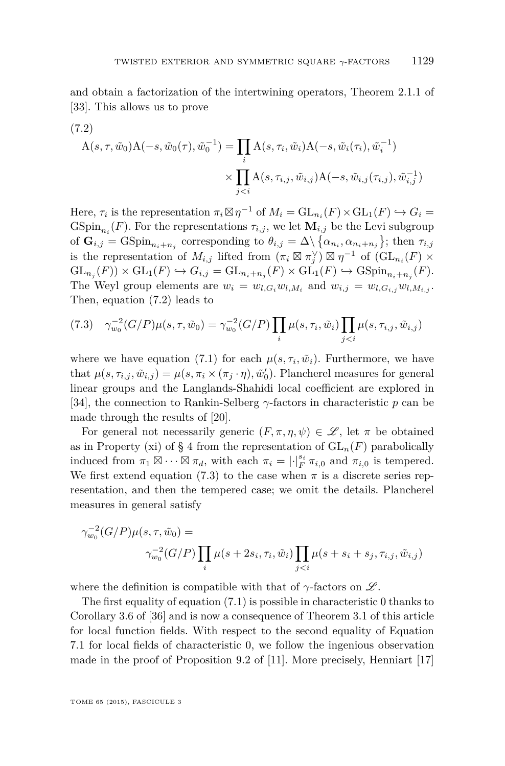and obtain a factorization of the intertwining operators, Theorem 2.1.1 of [\[33\]](#page-28-0). This allows us to prove

(7.2)  
\n
$$
A(s, \tau, \tilde{w}_0)A(-s, \tilde{w}_0(\tau), \tilde{w}_0^{-1}) = \prod_i A(s, \tau_i, \tilde{w}_i)A(-s, \tilde{w}_i(\tau_i), \tilde{w}_i^{-1})
$$
\n
$$
\times \prod_{j < i} A(s, \tau_{i,j}, \tilde{w}_{i,j})A(-s, \tilde{w}_{i,j}(\tau_{i,j}), \tilde{w}_{i,j}^{-1})
$$

Here,  $\tau_i$  is the representation  $\pi_i \boxtimes \eta^{-1}$  of  $M_i = GL_{n_i}(F) \times GL_1(F) \hookrightarrow G_i$ GSpin<sub>n<sub>i</sub></sub> $(F)$ . For the representations  $\tau_{i,j}$ , we let  $\mathbf{M}_{i,j}$  be the Levi subgroup of  $\mathbf{G}_{i,j} = \text{GSpin}_{n_i+n_j}$  corresponding to  $\theta_{i,j} = \Delta \setminus \{ \alpha_{n_i}, \alpha_{n_i+n_j} \};$  then  $\tau_{i,j}$ is the representation of  $M_{i,j}$  lifted from  $(\pi_i \boxtimes \pi_j^{\vee}) \boxtimes \eta^{-1}$  of  $(\mathrm{GL}_{n_i}(F) \times$  $\operatorname{GL}_{n_j}(F)$   $\times$   $\operatorname{GL}_1(F)$   $\hookrightarrow$   $G_{i,j}$  =  $\operatorname{GL}_{n_i+n_j}(F)$   $\times$   $\operatorname{GL}_1(F)$   $\hookrightarrow$   $\operatorname{GSpin}_{n_i+n_j}(F)$ . The Weyl group elements are  $w_i = w_{l,G_i}w_{l,M_i}$  and  $w_{i,j} = w_{l,G_{i,j}}w_{l,M_{i,j}}$ . Then, equation (7.2) leads to

$$
(7.3) \quad \gamma_{w_0}^{-2}(G/P)\mu(s,\tau,\tilde{w}_0) = \gamma_{w_0}^{-2}(G/P) \prod_i \mu(s,\tau_i,\tilde{w}_i) \prod_{j
$$

where we have equation [\(7.1\)](#page-24-0) for each  $\mu(s, \tau_i, \tilde{w}_i)$ . Furthermore, we have that  $\mu(s, \tau_{i,j}, \tilde{w}_{i,j}) = \mu(s, \pi_i \times (\pi_j \cdot \eta), \tilde{w}'_0)$ . Plancherel measures for general linear groups and the Langlands-Shahidi local coefficient are explored in [\[34\]](#page-28-0), the connection to Rankin-Selberg *γ*-factors in characteristic *p* can be made through the results of [\[20\]](#page-27-0).

For general not necessarily generic  $(F, \pi, \eta, \psi) \in \mathscr{L}$ , let  $\pi$  be obtained as in Property (xi) of § 4 from the representation of  $GL_n(F)$  parabolically induced from  $\pi_1 \boxtimes \cdots \boxtimes \pi_d$ , with each  $\pi_i = |\cdot|_F^{s_i} \pi_{i,0}$  and  $\pi_{i,0}$  is tempered. We first extend equation (7.3) to the case when  $\pi$  is a discrete series representation, and then the tempered case; we omit the details. Plancherel measures in general satisfy

$$
\gamma_{w_0}^{-2}(G/P)\mu(s,\tau,\tilde{w}_0) =
$$
  
 
$$
\gamma_{w_0}^{-2}(G/P)\prod_i \mu(s+2s_i,\tau_i,\tilde{w}_i)\prod_{j
$$

where the definition is compatible with that of  $\gamma$ -factors on  $\mathscr{L}$ .

The first equality of equation [\(7.1\)](#page-24-0) is possible in characteristic 0 thanks to Corollary 3.6 of [\[36\]](#page-28-0) and is now a consequence of Theorem [3.1](#page-10-0) of this article for local function fields. With respect to the second equality of Equation [7.1](#page-24-0) for local fields of characteristic 0, we follow the ingenious observation made in the proof of Proposition 9.2 of [\[11\]](#page-27-0). More precisely, Henniart [\[17\]](#page-27-0)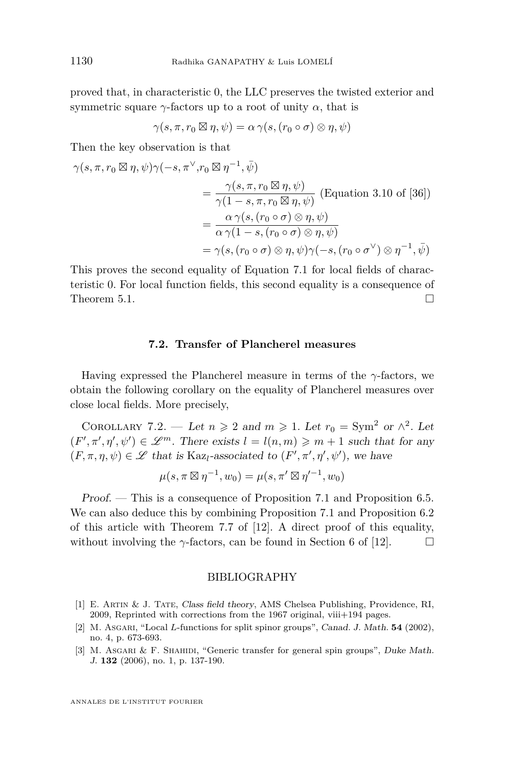<span id="page-26-0"></span>proved that, in characteristic 0, the LLC preserves the twisted exterior and symmetric square  $\gamma$ -factors up to a root of unity  $\alpha$ , that is

$$
\gamma(s,\pi,r_0\boxtimes \eta,\psi)=\alpha\,\gamma(s,(r_0\circ\sigma)\otimes\eta,\psi)
$$

Then the key observation is that

$$
\gamma(s,\pi,r_0 \boxtimes \eta,\psi)\gamma(-s,\pi^{\vee},r_0 \boxtimes \eta^{-1},\bar{\psi})
$$
  
= 
$$
\frac{\gamma(s,\pi,r_0 \boxtimes \eta,\psi)}{\gamma(1-s,\pi,r_0 \boxtimes \eta,\psi)}
$$
 (Equation 3.10 of [36])  
= 
$$
\frac{\alpha \gamma(s,(r_0 \circ \sigma) \otimes \eta,\psi)}{\alpha \gamma(1-s,(r_0 \circ \sigma) \otimes \eta,\psi)}
$$
  
= 
$$
\gamma(s,(r_0 \circ \sigma) \otimes \eta,\psi)\gamma(-s,(r_0 \circ \sigma^{\vee}) \otimes \eta^{-1},\bar{\psi})
$$

This proves the second equality of Equation [7.1](#page-24-0) for local fields of characteristic 0. For local function fields, this second equality is a consequence of Theorem [5.1.](#page-17-0)

#### **7.2. Transfer of Plancherel measures**

Having expressed the Plancherel measure in terms of the *γ*-factors, we obtain the following corollary on the equality of Plancherel measures over close local fields. More precisely,

COROLLARY 7.2. — Let  $n \ge 2$  and  $m \ge 1$ . Let  $r_0 = Sym^2$  or  $\wedge^2$ . Let  $(F', \pi', \eta', \psi') \in \mathcal{L}^m$ . There exists  $l = l(n, m) \geq m + 1$  such that for any  $(F, \pi, \eta, \psi) \in \mathscr{L}$  that is Kaz<sub>l</sub>-associated to  $(F', \pi', \eta', \psi')$ , we have

$$
\mu(s, \pi \boxtimes \eta^{-1}, w_0) = \mu(s, \pi' \boxtimes \eta'^{-1}, w_0)
$$

Proof. — This is a consequence of Proposition [7.1](#page-24-0) and Proposition [6.5.](#page-22-0) We can also deduce this by combining Proposition [7.1](#page-24-0) and Proposition [6.2](#page-20-0) of this article with Theorem 7.7 of [\[12\]](#page-27-0). A direct proof of this equality, without involving the  $\gamma$ -factors, can be found in Section 6 of [\[12\]](#page-27-0).

#### BIBLIOGRAPHY

- [1] E. Artin & J. Tate, Class field theory, AMS Chelsea Publishing, Providence, RI,  $2009$ , Reprinted with corrections from the 1967 original, viii $+194$  pages.
- [2] M. Asgari, "Local *L*-functions for split spinor groups", Canad. J. Math. **54** (2002), no. 4, p. 673-693.
- [3] M. Asgari & F. Shahidi, "Generic transfer for general spin groups", Duke Math. J. **132** (2006), no. 1, p. 137-190.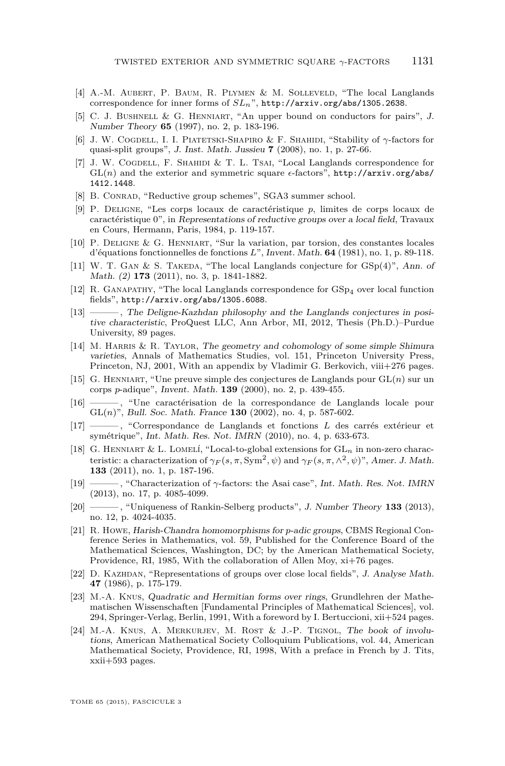- <span id="page-27-0"></span>[4] A.-M. Aubert, P. Baum, R. Plymen & M. Solleveld, "The local Langlands correspondence for inner forms of *SLn*", <http://arxiv.org/abs/1305.2638>.
- [5] C. J. BUSHNELL & G. HENNIART, "An upper bound on conductors for pairs", J. Number Theory **65** (1997), no. 2, p. 183-196.
- [6] J. W. Cogdell, I. I. Piatetski-Shapiro & F. Shahidi, "Stability of *γ*-factors for quasi-split groups", J. Inst. Math. Jussieu **7** (2008), no. 1, p. 27-66.
- [7] J. W. COGDELL, F. SHAHIDI & T. L. TSAI, "Local Langlands correspondence for  $GL(n)$  and the exterior and symmetric square  $\epsilon$ -factors", [http://arxiv.org/abs/](http://arxiv.org/abs/1412.1448) [1412.1448](http://arxiv.org/abs/1412.1448).
- [8] B. CONRAD, "Reductive group schemes", SGA3 summer school.
- [9] P. Deligne, "Les corps locaux de caractéristique *p*, limites de corps locaux de caractéristique 0", in Representations of reductive groups over a local field, Travaux en Cours, Hermann, Paris, 1984, p. 119-157.
- [10] P. Deligne & G. Henniart, "Sur la variation, par torsion, des constantes locales d'équations fonctionnelles de fonctions *L*", Invent. Math. **64** (1981), no. 1, p. 89-118.
- [11] W. T. GAN & S. TAKEDA, "The local Langlands conjecture for  $GSp(4)$ ", Ann. of Math. (2) **173** (2011), no. 3, p. 1841-1882.
- [12] R. GANAPATHY, "The local Langlands correspondence for  $GSp<sub>4</sub>$  over local function fields", <http://arxiv.org/abs/1305.6088>.
- [13] ——— , The Deligne-Kazhdan philosophy and the Langlands conjectures in positive characteristic, ProQuest LLC, Ann Arbor, MI, 2012, Thesis (Ph.D.)–Purdue University, 89 pages.
- [14] M. Harris & R. Taylor, The geometry and cohomology of some simple Shimura varieties, Annals of Mathematics Studies, vol. 151, Princeton University Press, Princeton, NJ, 2001, With an appendix by Vladimir G. Berkovich, viii+276 pages.
- [15] G. Henniart, "Une preuve simple des conjectures de Langlands pour GL(*n*) sur un corps *p*-adique", Invent. Math. **139** (2000), no. 2, p. 439-455.
- [16] ——— , "Une caractérisation de la correspondance de Langlands locale pour GL(*n*)", Bull. Soc. Math. France **130** (2002), no. 4, p. 587-602.
- [17] ——— , "Correspondance de Langlands et fonctions *L* des carrés extérieur et symétrique", Int. Math. Res. Not. IMRN (2010), no. 4, p. 633-673.
- [18] G. HENNIART & L. LOMELÍ, "Local-to-global extensions for  $GL_n$  in non-zero characteristic: a characterization of  $\gamma_F(s, \pi, \text{Sym}^2, \psi)$  and  $\gamma_F(s, \pi, \wedge^2, \psi)$ ", Amer. J. Math. **133** (2011), no. 1, p. 187-196.
- [19] ——— , "Characterization of *γ*-factors: the Asai case", Int. Math. Res. Not. IMRN (2013), no. 17, p. 4085-4099.
- [20] ——— , "Uniqueness of Rankin-Selberg products", J. Number Theory **133** (2013), no. 12, p. 4024-4035.
- [21] R. Howe, Harish-Chandra homomorphisms for *p*-adic groups, CBMS Regional Conference Series in Mathematics, vol. 59, Published for the Conference Board of the Mathematical Sciences, Washington, DC; by the American Mathematical Society, Providence, RI, 1985, With the collaboration of Allen Moy, xi+76 pages.
- [22] D. KAZHDAN, "Representations of groups over close local fields", J. Analyse Math. **47** (1986), p. 175-179.
- [23] M.-A. Knus, Quadratic and Hermitian forms over rings, Grundlehren der Mathematischen Wissenschaften [Fundamental Principles of Mathematical Sciences], vol. 294, Springer-Verlag, Berlin, 1991, With a foreword by I. Bertuccioni, xii+524 pages.
- [24] M.-A. KNUS, A. MERKURJEV, M. ROST & J.-P. TIGNOL, The book of involutions, American Mathematical Society Colloquium Publications, vol. 44, American Mathematical Society, Providence, RI, 1998, With a preface in French by J. Tits, xxii+593 pages.